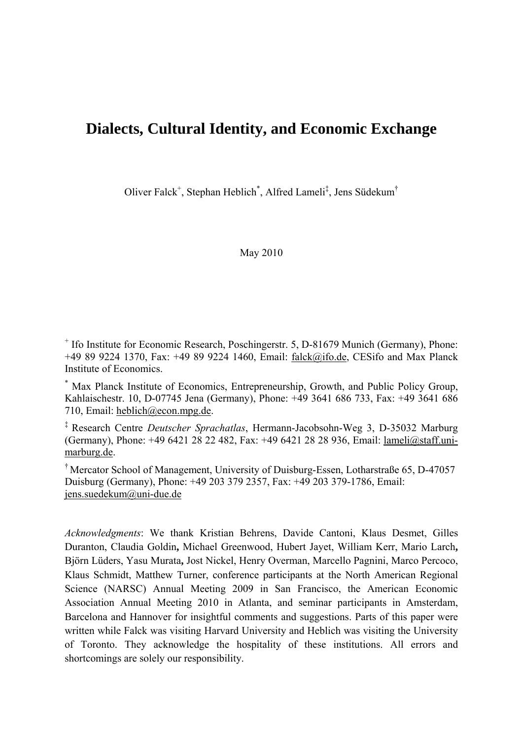# **Dialects, Cultural Identity, and Economic Exchange**

Oliver Falck<sup>+</sup>, Stephan Heblich<sup>\*</sup>, Alfred Lameli<sup>‡</sup>, Jens Südekum<sup>†</sup>

May 2010

+ Ifo Institute for Economic Research, Poschingerstr. 5, D-81679 Munich (Germany), Phone: +49 89 9224 1370, Fax: +49 89 9224 1460, Email: falck@ifo.de, CESifo and Max Planck Institute of Economics.

\* Max Planck Institute of Economics, Entrepreneurship, Growth, and Public Policy Group, Kahlaischestr. 10, D-07745 Jena (Germany), Phone: +49 3641 686 733, Fax: +49 3641 686 710, Email: heblich@econ.mpg.de.

‡ Research Centre *Deutscher Sprachatlas*, Hermann-Jacobsohn-Weg 3, D-35032 Marburg (Germany), Phone: +49 6421 28 22 482, Fax: +49 6421 28 28 936, Email: lameli@staff.unimarburg.de.

† Mercator School of Management, University of Duisburg-Essen, Lotharstraße 65, D-47057 Duisburg (Germany), Phone: +49 203 379 2357, Fax: +49 203 379-1786, Email: jens.suedekum@uni-due.de

*Acknowledgments*: We thank Kristian Behrens, Davide Cantoni, Klaus Desmet, Gilles Duranton, Claudia Goldin**,** Michael Greenwood, Hubert Jayet, William Kerr, Mario Larch**,**  Björn Lüders, Yasu Murata**,** Jost Nickel, Henry Overman, Marcello Pagnini, Marco Percoco, Klaus Schmidt, Matthew Turner, conference participants at the North American Regional Science (NARSC) Annual Meeting 2009 in San Francisco, the American Economic Association Annual Meeting 2010 in Atlanta, and seminar participants in Amsterdam, Barcelona and Hannover for insightful comments and suggestions. Parts of this paper were written while Falck was visiting Harvard University and Heblich was visiting the University of Toronto. They acknowledge the hospitality of these institutions. All errors and shortcomings are solely our responsibility.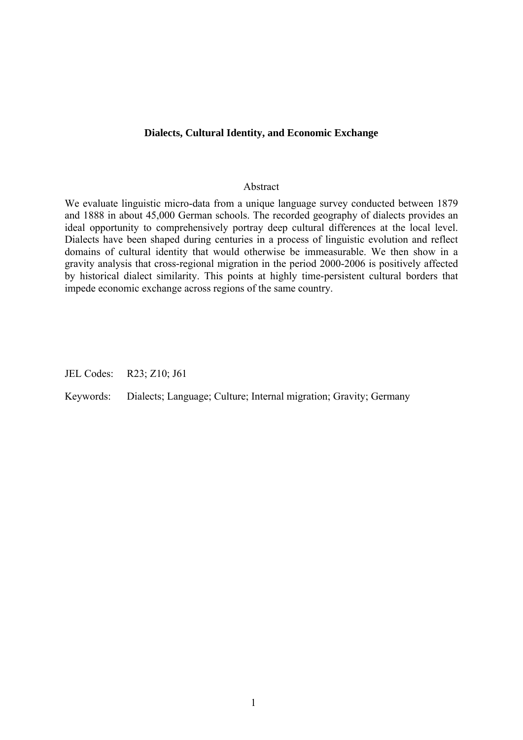## **Dialects, Cultural Identity, and Economic Exchange**

#### Abstract

We evaluate linguistic micro-data from a unique language survey conducted between 1879 and 1888 in about 45,000 German schools. The recorded geography of dialects provides an ideal opportunity to comprehensively portray deep cultural differences at the local level. Dialects have been shaped during centuries in a process of linguistic evolution and reflect domains of cultural identity that would otherwise be immeasurable. We then show in a gravity analysis that cross-regional migration in the period 2000-2006 is positively affected by historical dialect similarity. This points at highly time-persistent cultural borders that impede economic exchange across regions of the same country.

JEL Codes: R23; Z10; J61

Keywords: Dialects; Language; Culture; Internal migration; Gravity; Germany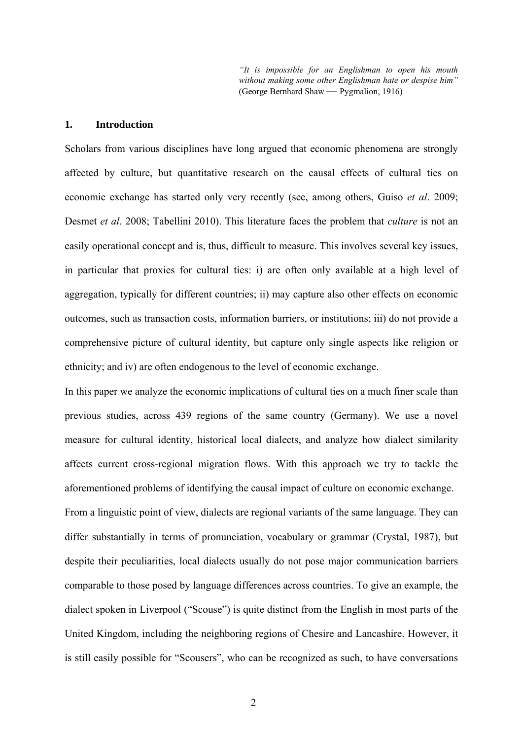*"It is impossible for an Englishman to open his mouth without making some other Englishman hate or despise him"*  (George Bernhard Shaw — Pygmalion, 1916)

## **1. Introduction**

Scholars from various disciplines have long argued that economic phenomena are strongly affected by culture, but quantitative research on the causal effects of cultural ties on economic exchange has started only very recently (see, among others, Guiso *et al*. 2009; Desmet *et al*. 2008; Tabellini 2010). This literature faces the problem that *culture* is not an easily operational concept and is, thus, difficult to measure. This involves several key issues, in particular that proxies for cultural ties: i) are often only available at a high level of aggregation, typically for different countries; ii) may capture also other effects on economic outcomes, such as transaction costs, information barriers, or institutions; iii) do not provide a comprehensive picture of cultural identity, but capture only single aspects like religion or ethnicity; and iv) are often endogenous to the level of economic exchange.

In this paper we analyze the economic implications of cultural ties on a much finer scale than previous studies, across 439 regions of the same country (Germany). We use a novel measure for cultural identity, historical local dialects, and analyze how dialect similarity affects current cross-regional migration flows. With this approach we try to tackle the aforementioned problems of identifying the causal impact of culture on economic exchange.

From a linguistic point of view, dialects are regional variants of the same language. They can differ substantially in terms of pronunciation, vocabulary or grammar (Crystal, 1987), but despite their peculiarities, local dialects usually do not pose major communication barriers comparable to those posed by language differences across countries. To give an example, the dialect spoken in Liverpool ("Scouse") is quite distinct from the English in most parts of the United Kingdom, including the neighboring regions of Chesire and Lancashire. However, it is still easily possible for "Scousers", who can be recognized as such, to have conversations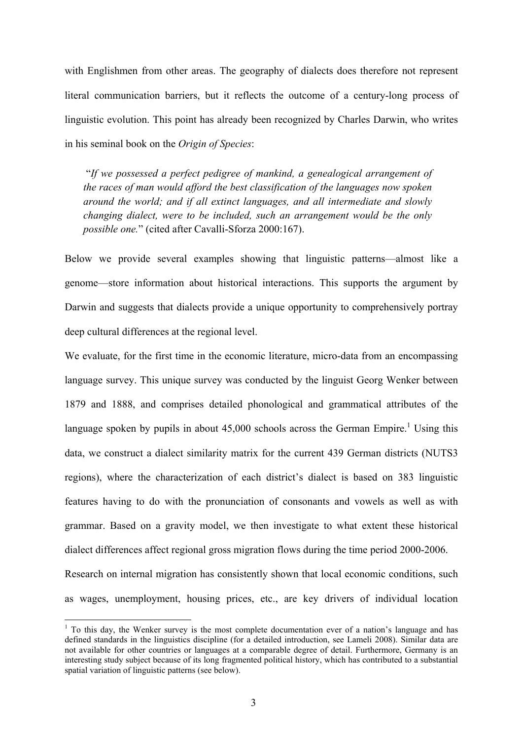with Englishmen from other areas. The geography of dialects does therefore not represent literal communication barriers, but it reflects the outcome of a century-long process of linguistic evolution. This point has already been recognized by Charles Darwin, who writes in his seminal book on the *Origin of Species*:

 "*If we possessed a perfect pedigree of mankind, a genealogical arrangement of the races of man would afford the best classification of the languages now spoken around the world; and if all extinct languages, and all intermediate and slowly changing dialect, were to be included, such an arrangement would be the only possible one.*" (cited after Cavalli-Sforza 2000:167).

Below we provide several examples showing that linguistic patterns—almost like a genome—store information about historical interactions. This supports the argument by Darwin and suggests that dialects provide a unique opportunity to comprehensively portray deep cultural differences at the regional level.

We evaluate, for the first time in the economic literature, micro-data from an encompassing language survey. This unique survey was conducted by the linguist Georg Wenker between 1879 and 1888, and comprises detailed phonological and grammatical attributes of the language spoken by pupils in about  $45,000$  schools across the German Empire.<sup>1</sup> Using this data, we construct a dialect similarity matrix for the current 439 German districts (NUTS3 regions), where the characterization of each district's dialect is based on 383 linguistic features having to do with the pronunciation of consonants and vowels as well as with grammar. Based on a gravity model, we then investigate to what extent these historical dialect differences affect regional gross migration flows during the time period 2000-2006. Research on internal migration has consistently shown that local economic conditions, such

as wages, unemployment, housing prices, etc., are key drivers of individual location

 $1$  To this day, the Wenker survey is the most complete documentation ever of a nation's language and has defined standards in the linguistics discipline (for a detailed introduction, see Lameli 2008). Similar data are not available for other countries or languages at a comparable degree of detail. Furthermore, Germany is an interesting study subject because of its long fragmented political history, which has contributed to a substantial spatial variation of linguistic patterns (see below).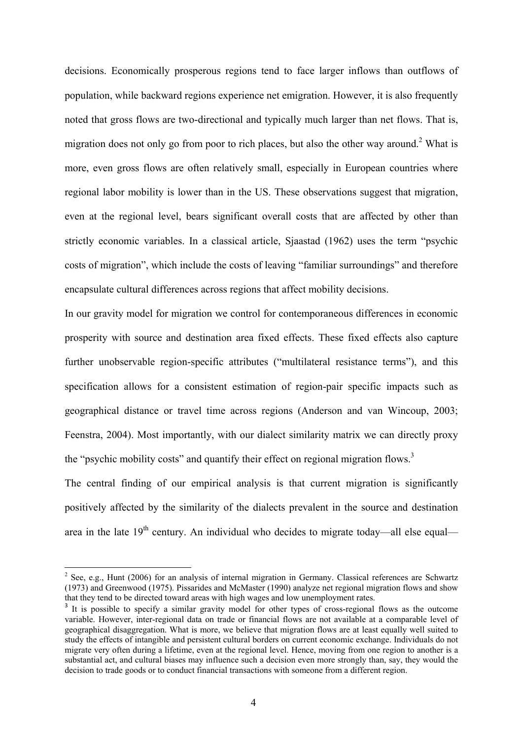decisions. Economically prosperous regions tend to face larger inflows than outflows of population, while backward regions experience net emigration. However, it is also frequently noted that gross flows are two-directional and typically much larger than net flows. That is, migration does not only go from poor to rich places, but also the other way around.<sup>2</sup> What is more, even gross flows are often relatively small, especially in European countries where regional labor mobility is lower than in the US. These observations suggest that migration, even at the regional level, bears significant overall costs that are affected by other than strictly economic variables. In a classical article, Sjaastad (1962) uses the term "psychic costs of migration", which include the costs of leaving "familiar surroundings" and therefore encapsulate cultural differences across regions that affect mobility decisions.

In our gravity model for migration we control for contemporaneous differences in economic prosperity with source and destination area fixed effects. These fixed effects also capture further unobservable region-specific attributes ("multilateral resistance terms"), and this specification allows for a consistent estimation of region-pair specific impacts such as geographical distance or travel time across regions (Anderson and van Wincoup, 2003; Feenstra, 2004). Most importantly, with our dialect similarity matrix we can directly proxy the "psychic mobility costs" and quantify their effect on regional migration flows.<sup>3</sup>

The central finding of our empirical analysis is that current migration is significantly positively affected by the similarity of the dialects prevalent in the source and destination area in the late  $19<sup>th</sup>$  century. An individual who decides to migrate today—all else equal—

 $2^2$  See, e.g., Hunt (2006) for an analysis of internal migration in Germany. Classical references are Schwartz (1973) and Greenwood (1975). Pissarides and McMaster (1990) analyze net regional migration flows and show that they tend to be directed toward areas with high wages and low unemployment rates.

<sup>&</sup>lt;sup>3</sup> It is possible to specify a similar gravity model for other types of cross-regional flows as the outcome variable. However, inter-regional data on trade or financial flows are not available at a comparable level of geographical disaggregation. What is more, we believe that migration flows are at least equally well suited to study the effects of intangible and persistent cultural borders on current economic exchange. Individuals do not migrate very often during a lifetime, even at the regional level. Hence, moving from one region to another is a substantial act, and cultural biases may influence such a decision even more strongly than, say, they would the decision to trade goods or to conduct financial transactions with someone from a different region.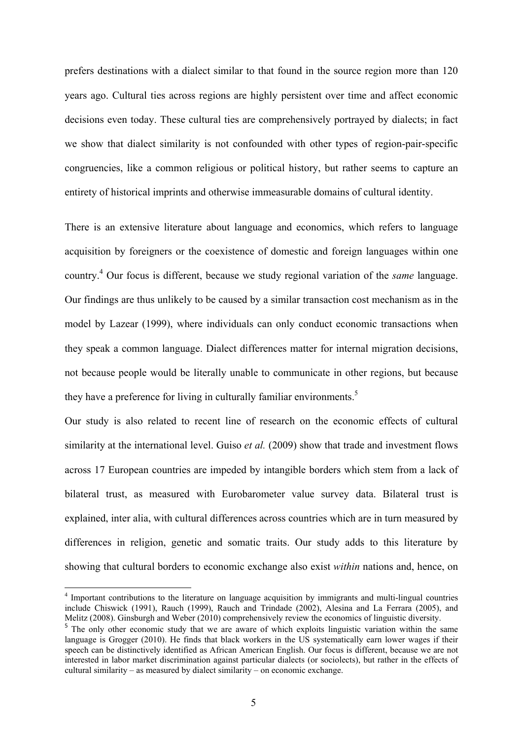prefers destinations with a dialect similar to that found in the source region more than 120 years ago. Cultural ties across regions are highly persistent over time and affect economic decisions even today. These cultural ties are comprehensively portrayed by dialects; in fact we show that dialect similarity is not confounded with other types of region-pair-specific congruencies, like a common religious or political history, but rather seems to capture an entirety of historical imprints and otherwise immeasurable domains of cultural identity.

There is an extensive literature about language and economics, which refers to language acquisition by foreigners or the coexistence of domestic and foreign languages within one country.4 Our focus is different, because we study regional variation of the *same* language. Our findings are thus unlikely to be caused by a similar transaction cost mechanism as in the model by Lazear (1999), where individuals can only conduct economic transactions when they speak a common language. Dialect differences matter for internal migration decisions, not because people would be literally unable to communicate in other regions, but because they have a preference for living in culturally familiar environments.<sup>5</sup>

Our study is also related to recent line of research on the economic effects of cultural similarity at the international level. Guiso *et al.* (2009) show that trade and investment flows across 17 European countries are impeded by intangible borders which stem from a lack of bilateral trust, as measured with Eurobarometer value survey data. Bilateral trust is explained, inter alia, with cultural differences across countries which are in turn measured by differences in religion, genetic and somatic traits. Our study adds to this literature by showing that cultural borders to economic exchange also exist *within* nations and, hence, on

 4 Important contributions to the literature on language acquisition by immigrants and multi-lingual countries include Chiswick (1991), Rauch (1999), Rauch and Trindade (2002), Alesina and La Ferrara (2005), and Melitz (2008). Ginsburgh and Weber (2010) comprehensively review the economics of linguistic diversity.

<sup>&</sup>lt;sup>5</sup> The only other economic study that we are aware of which exploits linguistic variation within the same language is Grogger (2010). He finds that black workers in the US systematically earn lower wages if their speech can be distinctively identified as African American English. Our focus is different, because we are not interested in labor market discrimination against particular dialects (or sociolects), but rather in the effects of cultural similarity – as measured by dialect similarity – on economic exchange.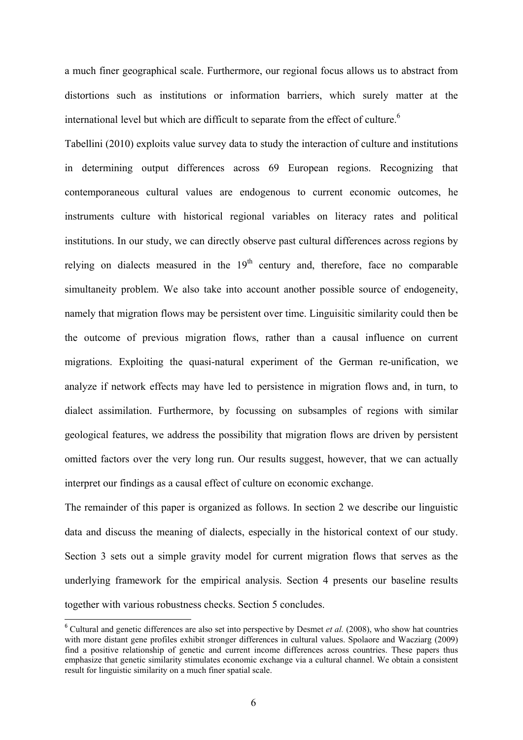a much finer geographical scale. Furthermore, our regional focus allows us to abstract from distortions such as institutions or information barriers, which surely matter at the international level but which are difficult to separate from the effect of culture.<sup>6</sup>

Tabellini (2010) exploits value survey data to study the interaction of culture and institutions in determining output differences across 69 European regions. Recognizing that contemporaneous cultural values are endogenous to current economic outcomes, he instruments culture with historical regional variables on literacy rates and political institutions. In our study, we can directly observe past cultural differences across regions by relying on dialects measured in the  $19<sup>th</sup>$  century and, therefore, face no comparable simultaneity problem. We also take into account another possible source of endogeneity, namely that migration flows may be persistent over time. Linguisitic similarity could then be the outcome of previous migration flows, rather than a causal influence on current migrations. Exploiting the quasi-natural experiment of the German re-unification, we analyze if network effects may have led to persistence in migration flows and, in turn, to dialect assimilation. Furthermore, by focussing on subsamples of regions with similar geological features, we address the possibility that migration flows are driven by persistent omitted factors over the very long run. Our results suggest, however, that we can actually interpret our findings as a causal effect of culture on economic exchange.

The remainder of this paper is organized as follows. In section 2 we describe our linguistic data and discuss the meaning of dialects, especially in the historical context of our study. Section 3 sets out a simple gravity model for current migration flows that serves as the underlying framework for the empirical analysis. Section 4 presents our baseline results together with various robustness checks. Section 5 concludes.

<sup>&</sup>lt;sup>6</sup> Cultural and genetic differences are also set into perspective by Desmet *et al.* (2008), who show hat countries with more distant gene profiles exhibit stronger differences in cultural values. Spolaore and Wacziarg (2009) find a positive relationship of genetic and current income differences across countries. These papers thus emphasize that genetic similarity stimulates economic exchange via a cultural channel. We obtain a consistent result for linguistic similarity on a much finer spatial scale.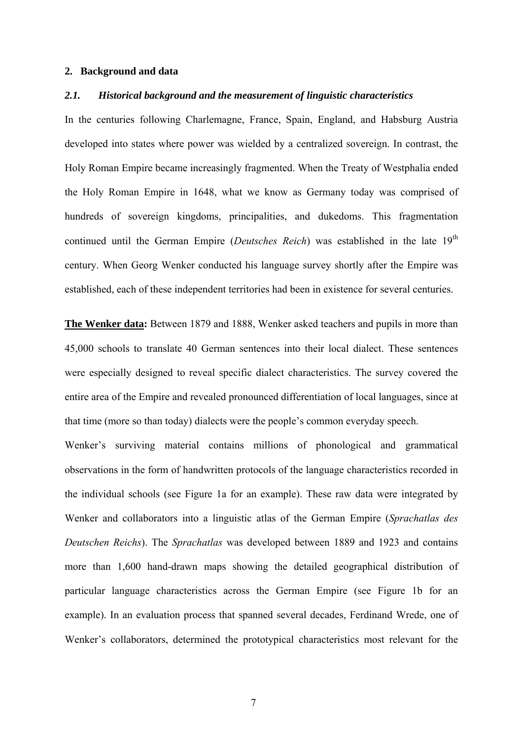#### **2. Background and data**

## *2.1. Historical background and the measurement of linguistic characteristics*

In the centuries following Charlemagne, France, Spain, England, and Habsburg Austria developed into states where power was wielded by a centralized sovereign. In contrast, the Holy Roman Empire became increasingly fragmented. When the Treaty of Westphalia ended the Holy Roman Empire in 1648, what we know as Germany today was comprised of hundreds of sovereign kingdoms, principalities, and dukedoms. This fragmentation continued until the German Empire (*Deutsches Reich*) was established in the late 19<sup>th</sup> century. When Georg Wenker conducted his language survey shortly after the Empire was established, each of these independent territories had been in existence for several centuries.

**The Wenker data:** Between 1879 and 1888, Wenker asked teachers and pupils in more than 45,000 schools to translate 40 German sentences into their local dialect. These sentences were especially designed to reveal specific dialect characteristics. The survey covered the entire area of the Empire and revealed pronounced differentiation of local languages, since at that time (more so than today) dialects were the people's common everyday speech.

Wenker's surviving material contains millions of phonological and grammatical observations in the form of handwritten protocols of the language characteristics recorded in the individual schools (see Figure 1a for an example). These raw data were integrated by Wenker and collaborators into a linguistic atlas of the German Empire (*Sprachatlas des Deutschen Reichs*). The *Sprachatlas* was developed between 1889 and 1923 and contains more than 1,600 hand-drawn maps showing the detailed geographical distribution of particular language characteristics across the German Empire (see Figure 1b for an example). In an evaluation process that spanned several decades, Ferdinand Wrede, one of Wenker's collaborators, determined the prototypical characteristics most relevant for the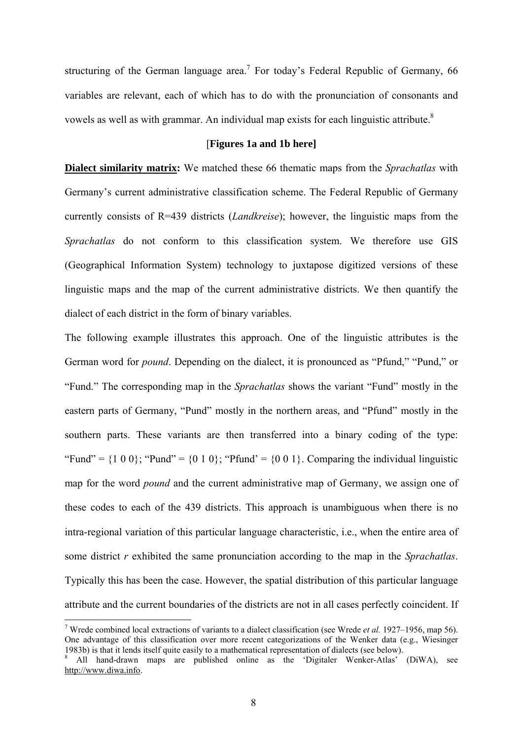structuring of the German language area.<sup>7</sup> For today's Federal Republic of Germany, 66 variables are relevant, each of which has to do with the pronunciation of consonants and vowels as well as with grammar. An individual map exists for each linguistic attribute.<sup>8</sup>

### [**Figures 1a and 1b here]**

**Dialect similarity matrix:** We matched these 66 thematic maps from the *Sprachatlas* with Germany's current administrative classification scheme. The Federal Republic of Germany currently consists of R=439 districts (*Landkreise*); however, the linguistic maps from the *Sprachatlas* do not conform to this classification system. We therefore use GIS (Geographical Information System) technology to juxtapose digitized versions of these linguistic maps and the map of the current administrative districts. We then quantify the dialect of each district in the form of binary variables.

The following example illustrates this approach. One of the linguistic attributes is the German word for *pound*. Depending on the dialect, it is pronounced as "Pfund," "Pund," or "Fund." The corresponding map in the *Sprachatlas* shows the variant "Fund" mostly in the eastern parts of Germany, "Pund" mostly in the northern areas, and "Pfund" mostly in the southern parts. These variants are then transferred into a binary coding of the type: "Fund" =  $\{1\ 0\ 0\}$ ; "Pund" =  $\{0\ 1\ 0\}$ ; "Pfund" =  $\{0\ 0\ 1\}$ . Comparing the individual linguistic map for the word *pound* and the current administrative map of Germany, we assign one of these codes to each of the 439 districts. This approach is unambiguous when there is no intra-regional variation of this particular language characteristic, i.e., when the entire area of some district *r* exhibited the same pronunciation according to the map in the *Sprachatlas*. Typically this has been the case. However, the spatial distribution of this particular language attribute and the current boundaries of the districts are not in all cases perfectly coincident. If

 7 Wrede combined local extractions of variants to a dialect classification (see Wrede *et al.* 1927–1956, map 56). One advantage of this classification over more recent categorizations of the Wenker data (e.g., Wiesinger 1983b) is that it lends itself quite easily to a mathematical representation of dialects (see below).

<sup>&</sup>lt;sup>8</sup> All hand-drawn maps are published online as the 'Digitaler Wenker-Atlas' (DiWA), see http://www.diwa.info.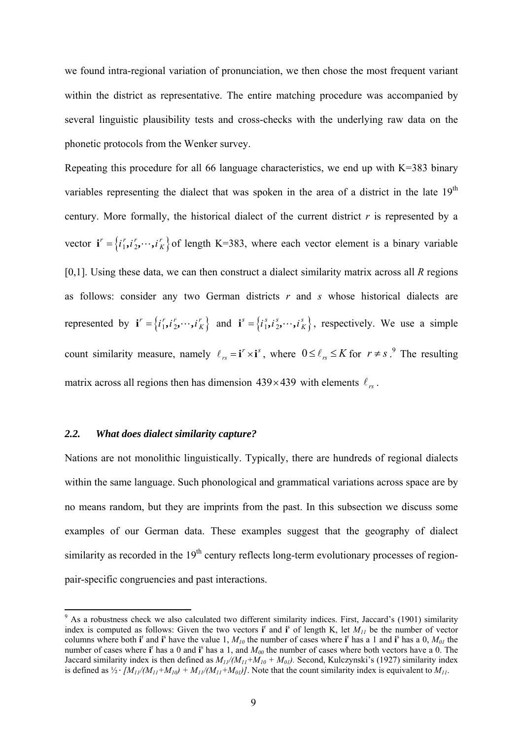we found intra-regional variation of pronunciation, we then chose the most frequent variant within the district as representative. The entire matching procedure was accompanied by several linguistic plausibility tests and cross-checks with the underlying raw data on the phonetic protocols from the Wenker survey.

Repeating this procedure for all 66 language characteristics, we end up with K=383 binary variables representing the dialect that was spoken in the area of a district in the late  $19<sup>th</sup>$ century. More formally, the historical dialect of the current district *r* is represented by a vector  $\mathbf{i}' = \{i'_1, i'_2, \dots, i'_K\}$  of length K=383, where each vector element is a binary variable [0,1]. Using these data, we can then construct a dialect similarity matrix across all *R* regions as follows: consider any two German districts *r* and *s* whose historical dialects are represented by  $\mathbf{i}^r = \{i_1^r, i_2^r, \dots, i_K^r\}$  and  $\mathbf{i}^s = \{i_1^s, i_2^s, \dots, i_K^s\}$ , respectively. We use a simple count similarity measure, namely  $\ell_{rs} = \mathbf{i}^r \times \mathbf{i}^s$ , where  $0 \le \ell_{rs} \le K$  for  $r \ne s$ .<sup>9</sup> The resulting matrix across all regions then has dimension  $439 \times 439$  with elements  $\ell_{rs}$ .

## *2.2. What does dialect similarity capture?*

Nations are not monolithic linguistically. Typically, there are hundreds of regional dialects within the same language. Such phonological and grammatical variations across space are by no means random, but they are imprints from the past. In this subsection we discuss some examples of our German data. These examples suggest that the geography of dialect similarity as recorded in the  $19<sup>th</sup>$  century reflects long-term evolutionary processes of regionpair-specific congruencies and past interactions.

<sup>&</sup>lt;sup>9</sup> As a robustness check we also calculated two different similarity indices. First, Jaccard's (1901) similarity index is computed as follows: Given the two vectors  $\mathbf{i}^{\text{r}}$  and  $\mathbf{i}^{\text{s}}$  of length K, let  $M_{II}$  be the number of vector columns where both **i**<sup>r</sup> and **i**<sup>s</sup> have the value 1,  $M_{10}$  the number of cases where **i**<sup>r</sup> has a 1 and **i**<sup>s</sup> has a 0,  $M_{01}$  the number of cases where  $\mathbf{i}^r$  has a 0 and  $\mathbf{i}^s$  has a 1, and  $M_{00}$  the number of cases where both vectors have a 0. The Jaccard similarity index is then defined as  $M_{11}/(M_{11}+M_{10}+M_{01})$ . Second, Kulczynski's (1927) similarity index is defined as  $\frac{1}{2} \cdot [M_{11}/(M_{11}+M_{10}) + M_{11}/(M_{11}+M_{01})]$ . Note that the count similarity index is equivalent to  $M_{11}$ .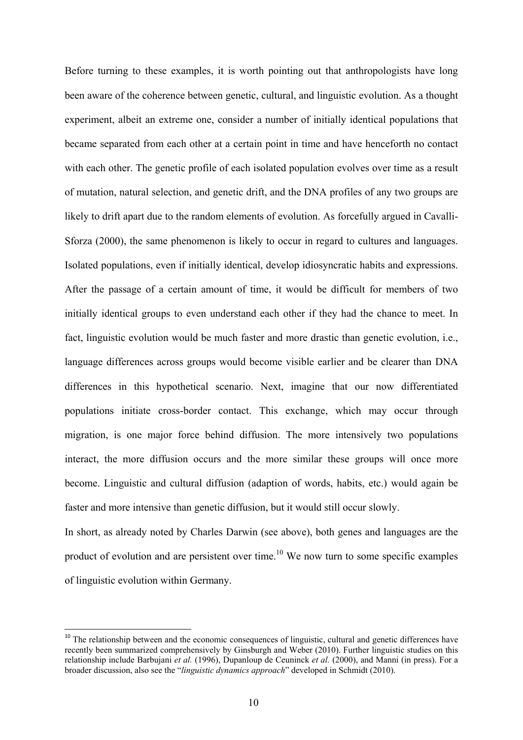Before turning to these examples, it is worth pointing out that anthropologists have long been aware of the coherence between genetic, cultural, and linguistic evolution. As a thought experiment, albeit an extreme one, consider a number of initially identical populations that became separated from each other at a certain point in time and have henceforth no contact with each other. The genetic profile of each isolated population evolves over time as a result of mutation, natural selection, and genetic drift, and the DNA profiles of any two groups are likely to drift apart due to the random elements of evolution. As forcefully argued in Cavalli-Sforza (2000), the same phenomenon is likely to occur in regard to cultures and languages. Isolated populations, even if initially identical, develop idiosyncratic habits and expressions. After the passage of a certain amount of time, it would be difficult for members of two initially identical groups to even understand each other if they had the chance to meet. In fact, linguistic evolution would be much faster and more drastic than genetic evolution, i.e., language differences across groups would become visible earlier and be clearer than DNA differences in this hypothetical scenario. Next, imagine that our now differentiated populations initiate cross-border contact. This exchange, which may occur through migration, is one major force behind diffusion. The more intensively two populations interact, the more diffusion occurs and the more similar these groups will once more become. Linguistic and cultural diffusion (adaption of words, habits, etc.) would again be faster and more intensive than genetic diffusion, but it would still occur slowly.

In short, as already noted by Charles Darwin (see above), both genes and languages are the product of evolution and are persistent over time.<sup>10</sup> We now turn to some specific examples of linguistic evolution within Germany.

<sup>&</sup>lt;sup>10</sup> The relationship between and the economic consequences of linguistic, cultural and genetic differences have recently been summarized comprehensively by Ginsburgh and Weber (2010). Further linguistic studies on this relationship include Barbujani *et al.* (1996), Dupanloup de Ceuninck *et al.* (2000), and Manni (in press). For a broader discussion, also see the "*linguistic dynamics approach*" developed in Schmidt (2010).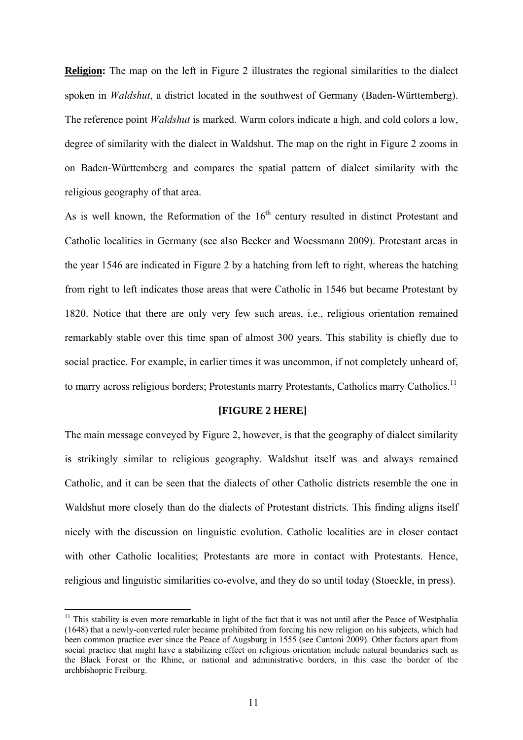**Religion:** The map on the left in Figure 2 illustrates the regional similarities to the dialect spoken in *Waldshut*, a district located in the southwest of Germany (Baden-Württemberg). The reference point *Waldshut* is marked. Warm colors indicate a high, and cold colors a low, degree of similarity with the dialect in Waldshut. The map on the right in Figure 2 zooms in on Baden-Württemberg and compares the spatial pattern of dialect similarity with the religious geography of that area.

As is well known, the Reformation of the  $16<sup>th</sup>$  century resulted in distinct Protestant and Catholic localities in Germany (see also Becker and Woessmann 2009). Protestant areas in the year 1546 are indicated in Figure 2 by a hatching from left to right, whereas the hatching from right to left indicates those areas that were Catholic in 1546 but became Protestant by 1820. Notice that there are only very few such areas, i.e., religious orientation remained remarkably stable over this time span of almost 300 years. This stability is chiefly due to social practice. For example, in earlier times it was uncommon, if not completely unheard of, to marry across religious borders; Protestants marry Protestants, Catholics marry Catholics.<sup>11</sup>

#### **[FIGURE 2 HERE]**

The main message conveyed by Figure 2, however, is that the geography of dialect similarity is strikingly similar to religious geography. Waldshut itself was and always remained Catholic, and it can be seen that the dialects of other Catholic districts resemble the one in Waldshut more closely than do the dialects of Protestant districts. This finding aligns itself nicely with the discussion on linguistic evolution. Catholic localities are in closer contact with other Catholic localities; Protestants are more in contact with Protestants. Hence, religious and linguistic similarities co-evolve, and they do so until today (Stoeckle, in press).

 $11$  This stability is even more remarkable in light of the fact that it was not until after the Peace of Westphalia (1648) that a newly-converted ruler became prohibited from forcing his new religion on his subjects, which had been common practice ever since the Peace of Augsburg in 1555 (see Cantoni 2009). Other factors apart from social practice that might have a stabilizing effect on religious orientation include natural boundaries such as the Black Forest or the Rhine, or national and administrative borders, in this case the border of the archbishopric Freiburg.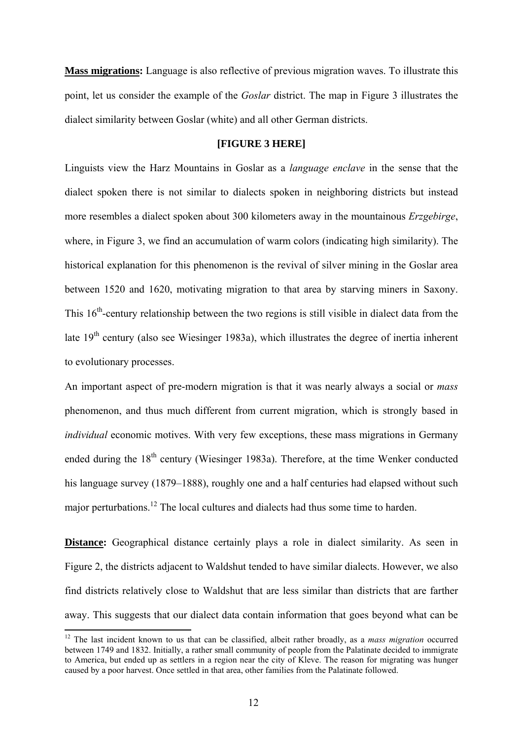**Mass migrations:** Language is also reflective of previous migration waves. To illustrate this point, let us consider the example of the *Goslar* district. The map in Figure 3 illustrates the dialect similarity between Goslar (white) and all other German districts.

#### **[FIGURE 3 HERE]**

Linguists view the Harz Mountains in Goslar as a *language enclave* in the sense that the dialect spoken there is not similar to dialects spoken in neighboring districts but instead more resembles a dialect spoken about 300 kilometers away in the mountainous *Erzgebirge*, where, in Figure 3, we find an accumulation of warm colors (indicating high similarity). The historical explanation for this phenomenon is the revival of silver mining in the Goslar area between 1520 and 1620, motivating migration to that area by starving miners in Saxony. This  $16<sup>th</sup>$ -century relationship between the two regions is still visible in dialect data from the late  $19<sup>th</sup>$  century (also see Wiesinger 1983a), which illustrates the degree of inertia inherent to evolutionary processes.

An important aspect of pre-modern migration is that it was nearly always a social or *mass* phenomenon, and thus much different from current migration, which is strongly based in *individual* economic motives. With very few exceptions, these mass migrations in Germany ended during the  $18<sup>th</sup>$  century (Wiesinger 1983a). Therefore, at the time Wenker conducted his language survey (1879–1888), roughly one and a half centuries had elapsed without such major perturbations.12 The local cultures and dialects had thus some time to harden.

**Distance:** Geographical distance certainly plays a role in dialect similarity. As seen in Figure 2, the districts adjacent to Waldshut tended to have similar dialects. However, we also find districts relatively close to Waldshut that are less similar than districts that are farther away. This suggests that our dialect data contain information that goes beyond what can be

<sup>&</sup>lt;sup>12</sup> The last incident known to us that can be classified, albeit rather broadly, as a *mass migration* occurred between 1749 and 1832. Initially, a rather small community of people from the Palatinate decided to immigrate to America, but ended up as settlers in a region near the city of Kleve. The reason for migrating was hunger caused by a poor harvest. Once settled in that area, other families from the Palatinate followed.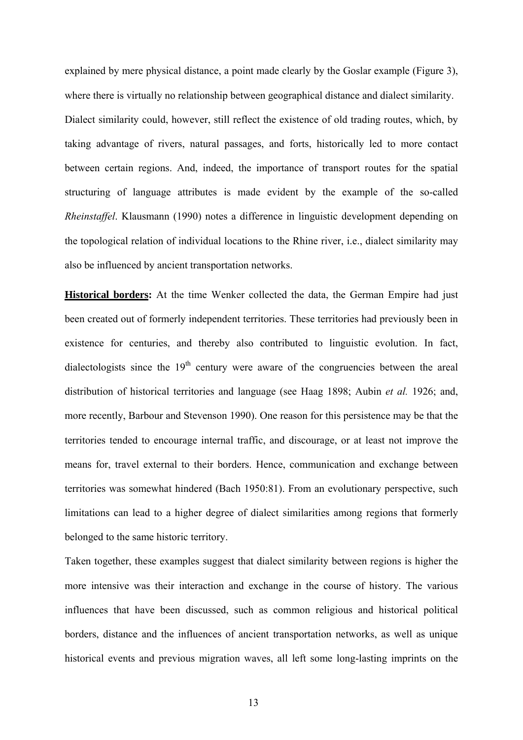explained by mere physical distance, a point made clearly by the Goslar example (Figure 3), where there is virtually no relationship between geographical distance and dialect similarity. Dialect similarity could, however, still reflect the existence of old trading routes, which, by taking advantage of rivers, natural passages, and forts, historically led to more contact between certain regions. And, indeed, the importance of transport routes for the spatial structuring of language attributes is made evident by the example of the so-called *Rheinstaffel*. Klausmann (1990) notes a difference in linguistic development depending on the topological relation of individual locations to the Rhine river, i.e., dialect similarity may also be influenced by ancient transportation networks.

**Historical borders:** At the time Wenker collected the data, the German Empire had just been created out of formerly independent territories. These territories had previously been in existence for centuries, and thereby also contributed to linguistic evolution. In fact, dialectologists since the  $19<sup>th</sup>$  century were aware of the congruencies between the areal distribution of historical territories and language (see Haag 1898; Aubin *et al.* 1926; and, more recently, Barbour and Stevenson 1990). One reason for this persistence may be that the territories tended to encourage internal traffic, and discourage, or at least not improve the means for, travel external to their borders. Hence, communication and exchange between territories was somewhat hindered (Bach 1950:81). From an evolutionary perspective, such limitations can lead to a higher degree of dialect similarities among regions that formerly belonged to the same historic territory.

Taken together, these examples suggest that dialect similarity between regions is higher the more intensive was their interaction and exchange in the course of history. The various influences that have been discussed, such as common religious and historical political borders, distance and the influences of ancient transportation networks, as well as unique historical events and previous migration waves, all left some long-lasting imprints on the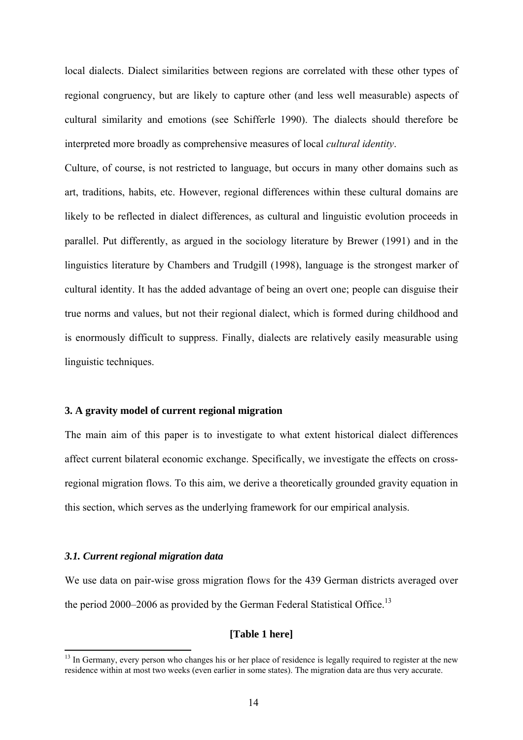local dialects. Dialect similarities between regions are correlated with these other types of regional congruency, but are likely to capture other (and less well measurable) aspects of cultural similarity and emotions (see Schifferle 1990). The dialects should therefore be interpreted more broadly as comprehensive measures of local *cultural identity*.

Culture, of course, is not restricted to language, but occurs in many other domains such as art, traditions, habits, etc. However, regional differences within these cultural domains are likely to be reflected in dialect differences, as cultural and linguistic evolution proceeds in parallel. Put differently, as argued in the sociology literature by Brewer (1991) and in the linguistics literature by Chambers and Trudgill (1998), language is the strongest marker of cultural identity. It has the added advantage of being an overt one; people can disguise their true norms and values, but not their regional dialect, which is formed during childhood and is enormously difficult to suppress. Finally, dialects are relatively easily measurable using linguistic techniques.

## **3. A gravity model of current regional migration**

The main aim of this paper is to investigate to what extent historical dialect differences affect current bilateral economic exchange. Specifically, we investigate the effects on crossregional migration flows. To this aim, we derive a theoretically grounded gravity equation in this section, which serves as the underlying framework for our empirical analysis.

### *3.1. Current regional migration data*

We use data on pair-wise gross migration flows for the 439 German districts averaged over the period 2000–2006 as provided by the German Federal Statistical Office.<sup>13</sup>

## **[Table 1 here]**

<sup>&</sup>lt;sup>13</sup> In Germany, every person who changes his or her place of residence is legally required to register at the new residence within at most two weeks (even earlier in some states). The migration data are thus very accurate.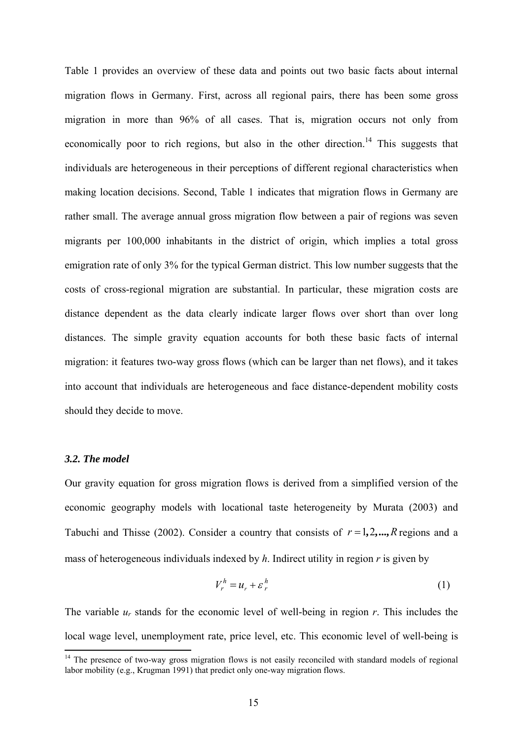Table 1 provides an overview of these data and points out two basic facts about internal migration flows in Germany. First, across all regional pairs, there has been some gross migration in more than 96% of all cases. That is, migration occurs not only from economically poor to rich regions, but also in the other direction.<sup>14</sup> This suggests that individuals are heterogeneous in their perceptions of different regional characteristics when making location decisions. Second, Table 1 indicates that migration flows in Germany are rather small. The average annual gross migration flow between a pair of regions was seven migrants per 100,000 inhabitants in the district of origin, which implies a total gross emigration rate of only 3% for the typical German district. This low number suggests that the costs of cross-regional migration are substantial. In particular, these migration costs are distance dependent as the data clearly indicate larger flows over short than over long distances. The simple gravity equation accounts for both these basic facts of internal migration: it features two-way gross flows (which can be larger than net flows), and it takes into account that individuals are heterogeneous and face distance-dependent mobility costs should they decide to move.

#### *3.2. The model*

Our gravity equation for gross migration flows is derived from a simplified version of the economic geography models with locational taste heterogeneity by Murata (2003) and Tabuchi and Thisse (2002). Consider a country that consists of  $r = 1, 2, \dots, R$  regions and a mass of heterogeneous individuals indexed by *h*. Indirect utility in region *r* is given by

$$
V_r^h = u_r + \varepsilon_r^h \tag{1}
$$

The variable  $u_r$  stands for the economic level of well-being in region  $r$ . This includes the local wage level, unemployment rate, price level, etc. This economic level of well-being is

<sup>&</sup>lt;sup>14</sup> The presence of two-way gross migration flows is not easily reconciled with standard models of regional labor mobility (e.g., Krugman 1991) that predict only one-way migration flows.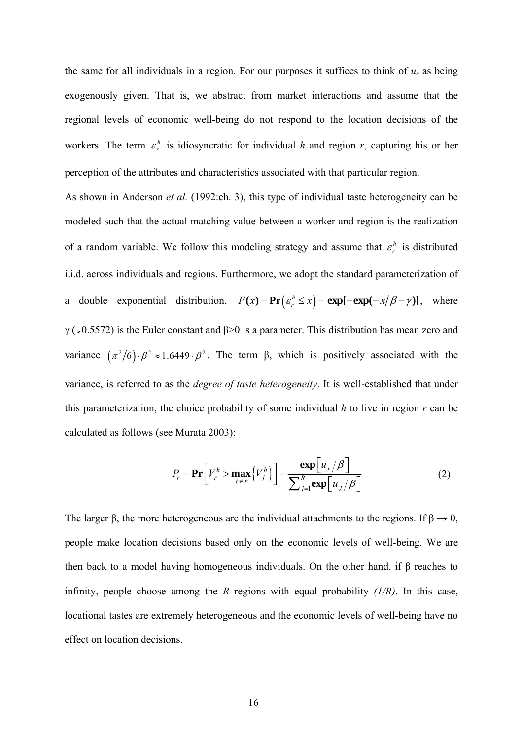the same for all individuals in a region. For our purposes it suffices to think of  $u_r$  as being exogenously given. That is, we abstract from market interactions and assume that the regional levels of economic well-being do not respond to the location decisions of the workers. The term  $\varepsilon_r^h$  is idiosyncratic for individual *h* and region *r*, capturing his or her perception of the attributes and characteristics associated with that particular region.

As shown in Anderson *et al.* (1992:ch. 3), this type of individual taste heterogeneity can be modeled such that the actual matching value between a worker and region is the realization of a random variable. We follow this modeling strategy and assume that  $\varepsilon_r^h$  is distributed i.i.d. across individuals and regions. Furthermore, we adopt the standard parameterization of a double exponential distribution,  $F(x) = \Pr \left( \epsilon_n^h \le x \right) = \exp[-\exp(-x/\beta - \gamma)]$ , where  $γ$  ( $\approx$ 0.5572) is the Euler constant and β>0 is a parameter. This distribution has mean zero and variance  $(\pi^2/6) \cdot \beta^2 \approx 1.6449 \cdot \beta^2$ . The term  $\beta$ , which is positively associated with the variance, is referred to as the *degree of taste heterogeneity*. It is well-established that under this parameterization, the choice probability of some individual *h* to live in region *r* can be calculated as follows (see Murata 2003):

$$
P_r = \mathbf{Pr}\bigg[V_r^h > \max_{j \neq r} \{V_j^h\}\bigg] = \frac{\exp\bigg[u_r/\beta\bigg]}{\sum_{j=1}^R \exp\bigg[u_j/\beta\bigg]}
$$
(2)

The larger  $\beta$ , the more heterogeneous are the individual attachments to the regions. If  $\beta \rightarrow 0$ , people make location decisions based only on the economic levels of well-being. We are then back to a model having homogeneous individuals. On the other hand, if  $\beta$  reaches to infinity, people choose among the *R* regions with equal probability *(1/R)*. In this case, locational tastes are extremely heterogeneous and the economic levels of well-being have no effect on location decisions.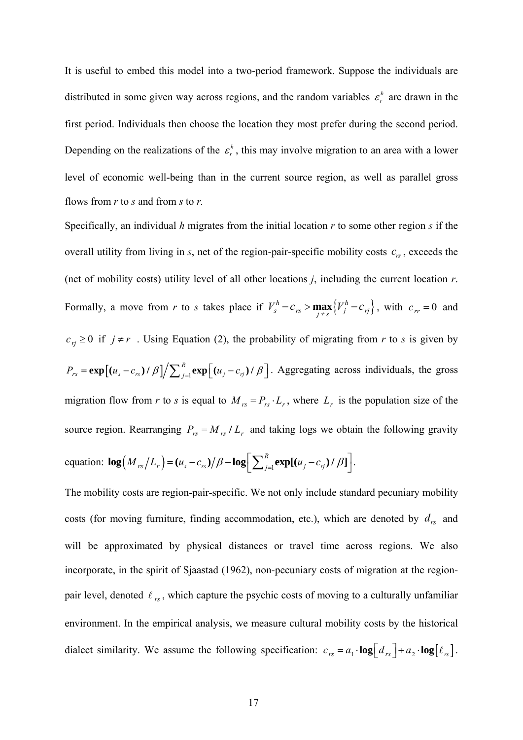It is useful to embed this model into a two-period framework. Suppose the individuals are distributed in some given way across regions, and the random variables  $\varepsilon_r^h$  are drawn in the first period. Individuals then choose the location they most prefer during the second period. Depending on the realizations of the  $\varepsilon_r^h$ , this may involve migration to an area with a lower level of economic well-being than in the current source region, as well as parallel gross flows from *r* to *s* and from *s* to *r.* 

Specifically, an individual *h* migrates from the initial location *r* to some other region *s* if the overall utility from living in  $s$ , net of the region-pair-specific mobility costs  $c_{rs}$ , exceeds the (net of mobility costs) utility level of all other locations *j*, including the current location *r*. Formally, a move from *r* to *s* takes place if  $V_s^h - c_{rs} > \max_{j \neq s} \{ V_j^h - c_{rj} \}$ , with  $c_{rr} = 0$  and  $c_{rj} \geq 0$  if  $j \neq r$ . Using Equation (2), the probability of migrating from *r* to *s* is given by  $P_{rs} = \exp\left[(u_s - c_{rs})/\beta\right] / \sum_{j=1}^R \exp\left[(u_j - c_{rj})/\beta\right]$ . Aggregating across individuals, the gross migration flow from *r* to *s* is equal to  $M_{rs} = P_{rs} \cdot L_r$ , where  $L_r$  is the population size of the source region. Rearranging  $P_{rs} = M_{rs} / L_r$  and taking logs we obtain the following gravity equation:  $\log \left( M_{rs}/L_r \right) = \left( u_s - c_{rs} \right) / \beta - \log \left[ \sum_{j=1}^R \exp[(u_j - c_{rj})/\beta] \right].$ 

The mobility costs are region-pair-specific. We not only include standard pecuniary mobility costs (for moving furniture, finding accommodation, etc.), which are denoted by  $d_{rs}$  and will be approximated by physical distances or travel time across regions. We also incorporate, in the spirit of Sjaastad (1962), non-pecuniary costs of migration at the regionpair level, denoted  $\ell_{rs}$ , which capture the psychic costs of moving to a culturally unfamiliar environment. In the empirical analysis, we measure cultural mobility costs by the historical dialect similarity. We assume the following specification:  $c_{rs} = a_1 \cdot \log \left[ d_{rs} \right] + a_2 \cdot \log \left[ \ell_{rs} \right]$ .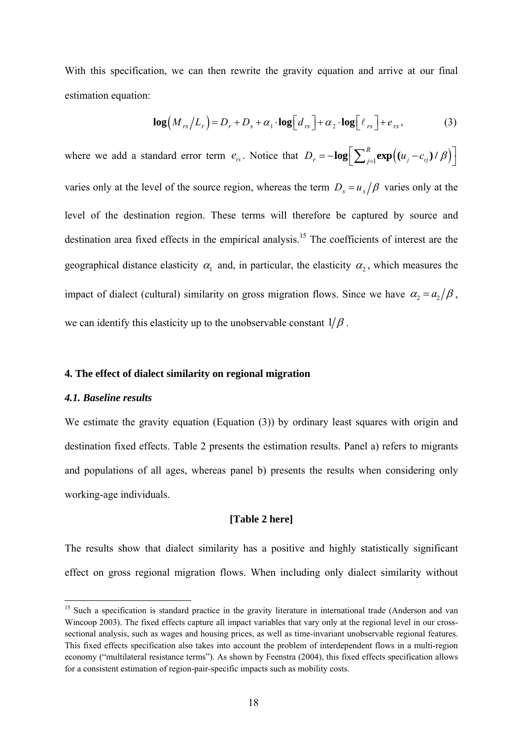With this specification, we can then rewrite the gravity equation and arrive at our final estimation equation:

$$
\log\left(M_{rs}/L_r\right) = D_r + D_s + \alpha_1 \cdot \log\left[d_{rs}\right] + \alpha_2 \cdot \log\left[\ell_{rs}\right] + e_{rs},\tag{3}
$$

where we add a standard error term  $e_{rs}$ . Notice that  $D_r = -\log \left[ \sum_{j=1}^R \exp((u_j - c_{rj})/\beta) \right]$ varies only at the level of the source region, whereas the term  $D_s = u_s/\beta$  varies only at the level of the destination region. These terms will therefore be captured by source and destination area fixed effects in the empirical analysis.<sup>15</sup> The coefficients of interest are the geographical distance elasticity  $\alpha_1$  and, in particular, the elasticity  $\alpha_2$ , which measures the impact of dialect (cultural) similarity on gross migration flows. Since we have  $\alpha_2 = a_2/\beta$ , we can identify this elasticity up to the unobservable constant  $1/\beta$ .

# **4. The effect of dialect similarity on regional migration**

#### *4.1. Baseline results*

We estimate the gravity equation (Equation (3)) by ordinary least squares with origin and destination fixed effects. Table 2 presents the estimation results. Panel a) refers to migrants and populations of all ages, whereas panel b) presents the results when considering only working-age individuals.

## **[Table 2 here]**

The results show that dialect similarity has a positive and highly statistically significant effect on gross regional migration flows. When including only dialect similarity without

<sup>&</sup>lt;sup>15</sup> Such a specification is standard practice in the gravity literature in international trade (Anderson and van Wincoop 2003). The fixed effects capture all impact variables that vary only at the regional level in our crosssectional analysis, such as wages and housing prices, as well as time-invariant unobservable regional features. This fixed effects specification also takes into account the problem of interdependent flows in a multi-region economy ("multilateral resistance terms"). As shown by Feenstra (2004), this fixed effects specification allows for a consistent estimation of region-pair-specific impacts such as mobility costs.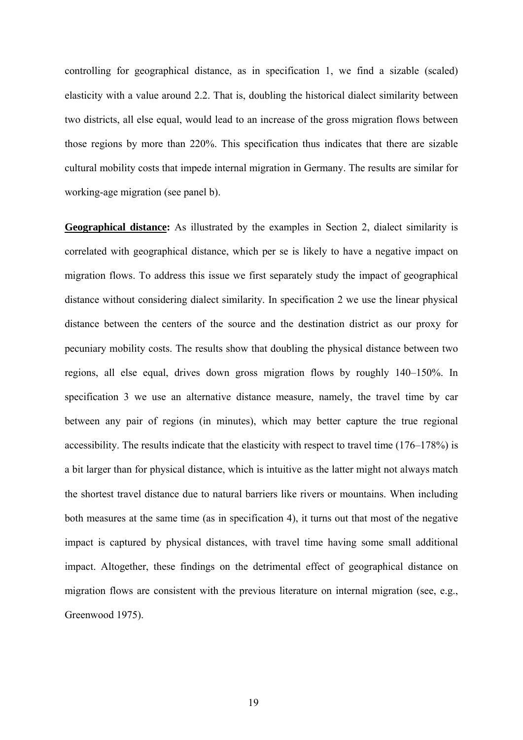controlling for geographical distance, as in specification 1, we find a sizable (scaled) elasticity with a value around 2.2. That is, doubling the historical dialect similarity between two districts, all else equal, would lead to an increase of the gross migration flows between those regions by more than 220%. This specification thus indicates that there are sizable cultural mobility costs that impede internal migration in Germany. The results are similar for working-age migration (see panel b).

**Geographical distance:** As illustrated by the examples in Section 2, dialect similarity is correlated with geographical distance, which per se is likely to have a negative impact on migration flows. To address this issue we first separately study the impact of geographical distance without considering dialect similarity. In specification 2 we use the linear physical distance between the centers of the source and the destination district as our proxy for pecuniary mobility costs. The results show that doubling the physical distance between two regions, all else equal, drives down gross migration flows by roughly 140–150%. In specification 3 we use an alternative distance measure, namely, the travel time by car between any pair of regions (in minutes), which may better capture the true regional accessibility. The results indicate that the elasticity with respect to travel time (176–178%) is a bit larger than for physical distance, which is intuitive as the latter might not always match the shortest travel distance due to natural barriers like rivers or mountains. When including both measures at the same time (as in specification 4), it turns out that most of the negative impact is captured by physical distances, with travel time having some small additional impact. Altogether, these findings on the detrimental effect of geographical distance on migration flows are consistent with the previous literature on internal migration (see, e.g., Greenwood 1975).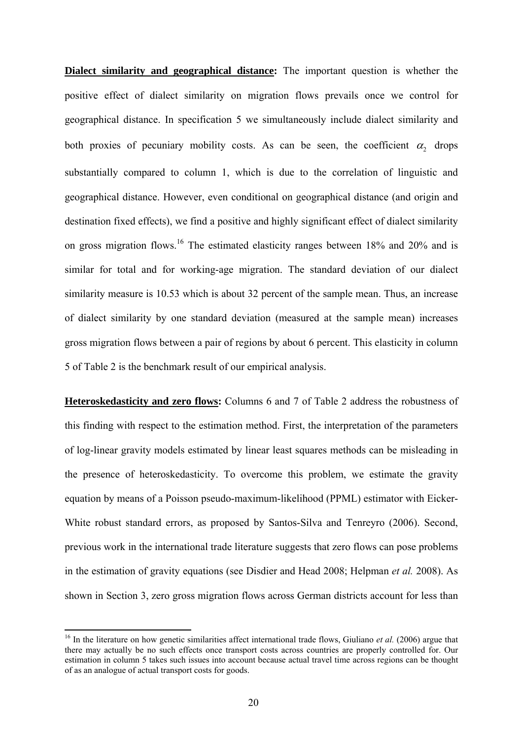**Dialect similarity and geographical distance:** The important question is whether the positive effect of dialect similarity on migration flows prevails once we control for geographical distance. In specification 5 we simultaneously include dialect similarity and both proxies of pecuniary mobility costs. As can be seen, the coefficient  $\alpha_2$  drops substantially compared to column 1, which is due to the correlation of linguistic and geographical distance. However, even conditional on geographical distance (and origin and destination fixed effects), we find a positive and highly significant effect of dialect similarity on gross migration flows.16 The estimated elasticity ranges between 18% and 20% and is similar for total and for working-age migration. The standard deviation of our dialect similarity measure is 10.53 which is about 32 percent of the sample mean. Thus, an increase of dialect similarity by one standard deviation (measured at the sample mean) increases gross migration flows between a pair of regions by about 6 percent. This elasticity in column 5 of Table 2 is the benchmark result of our empirical analysis.

**Heteroskedasticity and zero flows:** Columns 6 and 7 of Table 2 address the robustness of this finding with respect to the estimation method. First, the interpretation of the parameters of log-linear gravity models estimated by linear least squares methods can be misleading in the presence of heteroskedasticity. To overcome this problem, we estimate the gravity equation by means of a Poisson pseudo-maximum-likelihood (PPML) estimator with Eicker-White robust standard errors, as proposed by Santos-Silva and Tenreyro (2006). Second, previous work in the international trade literature suggests that zero flows can pose problems in the estimation of gravity equations (see Disdier and Head 2008; Helpman *et al.* 2008). As shown in Section 3, zero gross migration flows across German districts account for less than

<sup>&</sup>lt;sup>16</sup> In the literature on how genetic similarities affect international trade flows, Giuliano *et al.* (2006) argue that there may actually be no such effects once transport costs across countries are properly controlled for. Our estimation in column 5 takes such issues into account because actual travel time across regions can be thought of as an analogue of actual transport costs for goods.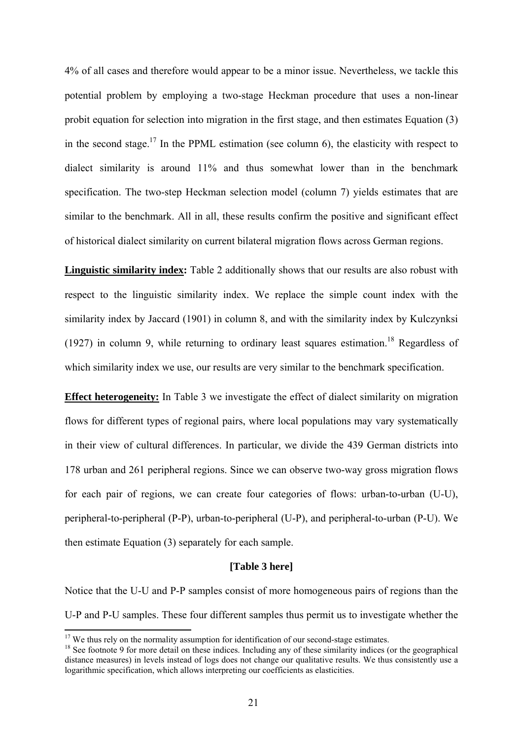4% of all cases and therefore would appear to be a minor issue. Nevertheless, we tackle this potential problem by employing a two-stage Heckman procedure that uses a non-linear probit equation for selection into migration in the first stage, and then estimates Equation (3) in the second stage.<sup>17</sup> In the PPML estimation (see column 6), the elasticity with respect to dialect similarity is around 11% and thus somewhat lower than in the benchmark specification. The two-step Heckman selection model (column 7) yields estimates that are similar to the benchmark. All in all, these results confirm the positive and significant effect of historical dialect similarity on current bilateral migration flows across German regions.

**Linguistic similarity index:** Table 2 additionally shows that our results are also robust with respect to the linguistic similarity index. We replace the simple count index with the similarity index by Jaccard (1901) in column 8, and with the similarity index by Kulczynksi (1927) in column 9, while returning to ordinary least squares estimation.<sup>18</sup> Regardless of which similarity index we use, our results are very similar to the benchmark specification.

**Effect heterogeneity:** In Table 3 we investigate the effect of dialect similarity on migration flows for different types of regional pairs, where local populations may vary systematically in their view of cultural differences. In particular, we divide the 439 German districts into 178 urban and 261 peripheral regions. Since we can observe two-way gross migration flows for each pair of regions, we can create four categories of flows: urban-to-urban (U-U), peripheral-to-peripheral (P-P), urban-to-peripheral (U-P), and peripheral-to-urban (P-U). We then estimate Equation (3) separately for each sample.

#### **[Table 3 here]**

Notice that the U-U and P-P samples consist of more homogeneous pairs of regions than the U-P and P-U samples. These four different samples thus permit us to investigate whether the

<sup>&</sup>lt;sup>17</sup> We thus rely on the normality assumption for identification of our second-stage estimates.

 $18$  See footnote 9 for more detail on these indices. Including any of these similarity indices (or the geographical distance measures) in levels instead of logs does not change our qualitative results. We thus consistently use a logarithmic specification, which allows interpreting our coefficients as elasticities.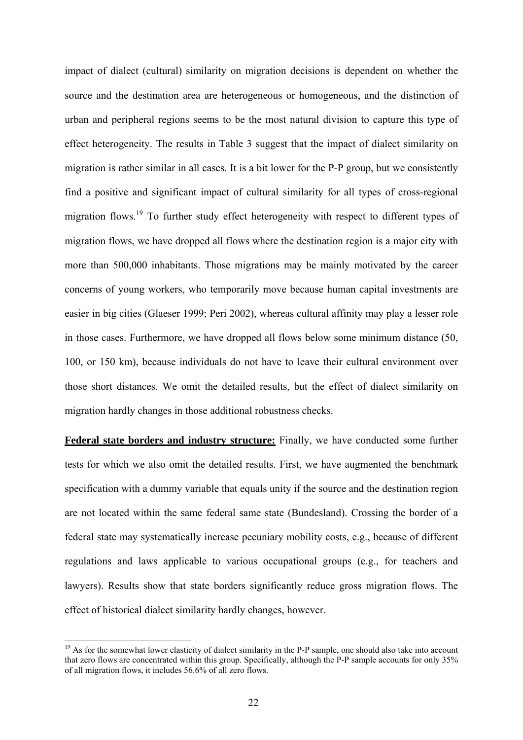impact of dialect (cultural) similarity on migration decisions is dependent on whether the source and the destination area are heterogeneous or homogeneous, and the distinction of urban and peripheral regions seems to be the most natural division to capture this type of effect heterogeneity. The results in Table 3 suggest that the impact of dialect similarity on migration is rather similar in all cases. It is a bit lower for the P-P group, but we consistently find a positive and significant impact of cultural similarity for all types of cross-regional migration flows.<sup>19</sup> To further study effect heterogeneity with respect to different types of migration flows, we have dropped all flows where the destination region is a major city with more than 500,000 inhabitants. Those migrations may be mainly motivated by the career concerns of young workers, who temporarily move because human capital investments are easier in big cities (Glaeser 1999; Peri 2002), whereas cultural affinity may play a lesser role in those cases. Furthermore, we have dropped all flows below some minimum distance (50, 100, or 150 km), because individuals do not have to leave their cultural environment over those short distances. We omit the detailed results, but the effect of dialect similarity on migration hardly changes in those additional robustness checks.

**Federal state borders and industry structure:** Finally, we have conducted some further tests for which we also omit the detailed results. First, we have augmented the benchmark specification with a dummy variable that equals unity if the source and the destination region are not located within the same federal same state (Bundesland). Crossing the border of a federal state may systematically increase pecuniary mobility costs, e.g., because of different regulations and laws applicable to various occupational groups (e.g., for teachers and lawyers). Results show that state borders significantly reduce gross migration flows. The effect of historical dialect similarity hardly changes, however.

 $19$  As for the somewhat lower elasticity of dialect similarity in the P-P sample, one should also take into account that zero flows are concentrated within this group. Specifically, although the P-P sample accounts for only 35% of all migration flows, it includes 56.6% of all zero flows.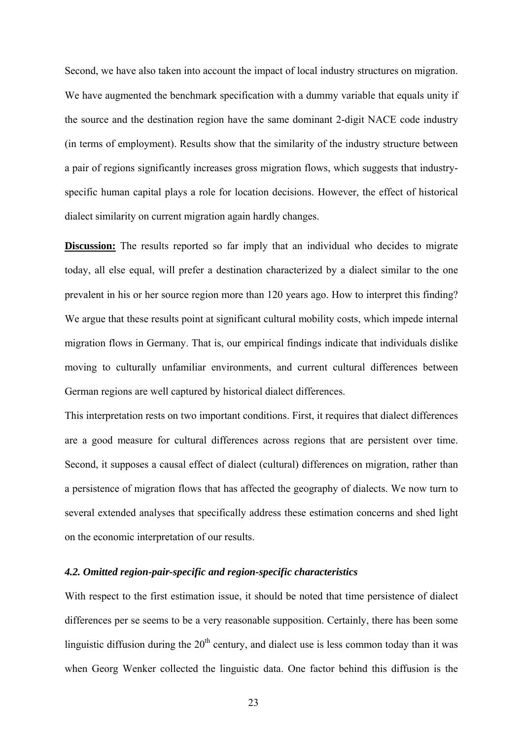Second, we have also taken into account the impact of local industry structures on migration. We have augmented the benchmark specification with a dummy variable that equals unity if the source and the destination region have the same dominant 2-digit NACE code industry (in terms of employment). Results show that the similarity of the industry structure between a pair of regions significantly increases gross migration flows, which suggests that industryspecific human capital plays a role for location decisions. However, the effect of historical dialect similarity on current migration again hardly changes.

**Discussion:** The results reported so far imply that an individual who decides to migrate today, all else equal, will prefer a destination characterized by a dialect similar to the one prevalent in his or her source region more than 120 years ago. How to interpret this finding? We argue that these results point at significant cultural mobility costs, which impede internal migration flows in Germany. That is, our empirical findings indicate that individuals dislike moving to culturally unfamiliar environments, and current cultural differences between German regions are well captured by historical dialect differences.

This interpretation rests on two important conditions. First, it requires that dialect differences are a good measure for cultural differences across regions that are persistent over time. Second, it supposes a causal effect of dialect (cultural) differences on migration, rather than a persistence of migration flows that has affected the geography of dialects. We now turn to several extended analyses that specifically address these estimation concerns and shed light on the economic interpretation of our results.

## *4.2. Omitted region-pair-specific and region-specific characteristics*

With respect to the first estimation issue, it should be noted that time persistence of dialect differences per se seems to be a very reasonable supposition. Certainly, there has been some linguistic diffusion during the  $20<sup>th</sup>$  century, and dialect use is less common today than it was when Georg Wenker collected the linguistic data. One factor behind this diffusion is the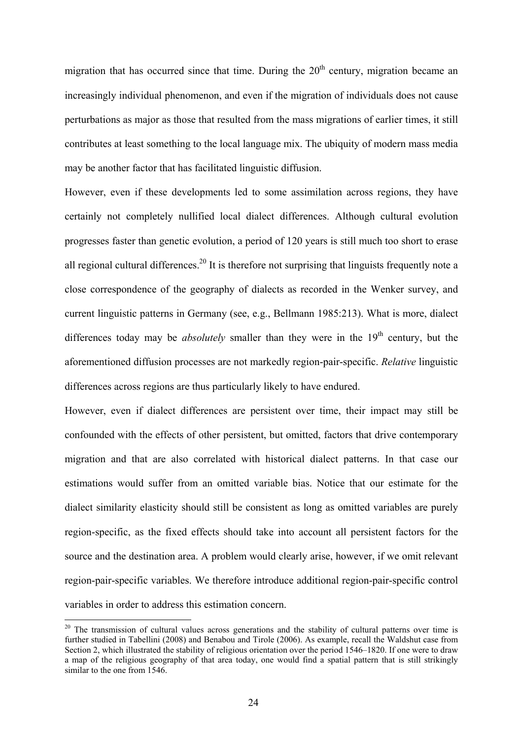migration that has occurred since that time. During the  $20<sup>th</sup>$  century, migration became an increasingly individual phenomenon, and even if the migration of individuals does not cause perturbations as major as those that resulted from the mass migrations of earlier times, it still contributes at least something to the local language mix. The ubiquity of modern mass media may be another factor that has facilitated linguistic diffusion.

However, even if these developments led to some assimilation across regions, they have certainly not completely nullified local dialect differences. Although cultural evolution progresses faster than genetic evolution, a period of 120 years is still much too short to erase all regional cultural differences.<sup>20</sup> It is therefore not surprising that linguists frequently note a close correspondence of the geography of dialects as recorded in the Wenker survey, and current linguistic patterns in Germany (see, e.g., Bellmann 1985:213). What is more, dialect differences today may be *absolutely* smaller than they were in the  $19<sup>th</sup>$  century, but the aforementioned diffusion processes are not markedly region-pair-specific. *Relative* linguistic differences across regions are thus particularly likely to have endured.

However, even if dialect differences are persistent over time, their impact may still be confounded with the effects of other persistent, but omitted, factors that drive contemporary migration and that are also correlated with historical dialect patterns. In that case our estimations would suffer from an omitted variable bias. Notice that our estimate for the dialect similarity elasticity should still be consistent as long as omitted variables are purely region-specific, as the fixed effects should take into account all persistent factors for the source and the destination area. A problem would clearly arise, however, if we omit relevant region-pair-specific variables. We therefore introduce additional region-pair-specific control variables in order to address this estimation concern.

<sup>&</sup>lt;sup>20</sup> The transmission of cultural values across generations and the stability of cultural patterns over time is further studied in Tabellini (2008) and Benabou and Tirole (2006). As example, recall the Waldshut case from Section 2, which illustrated the stability of religious orientation over the period 1546–1820. If one were to draw a map of the religious geography of that area today, one would find a spatial pattern that is still strikingly similar to the one from 1546.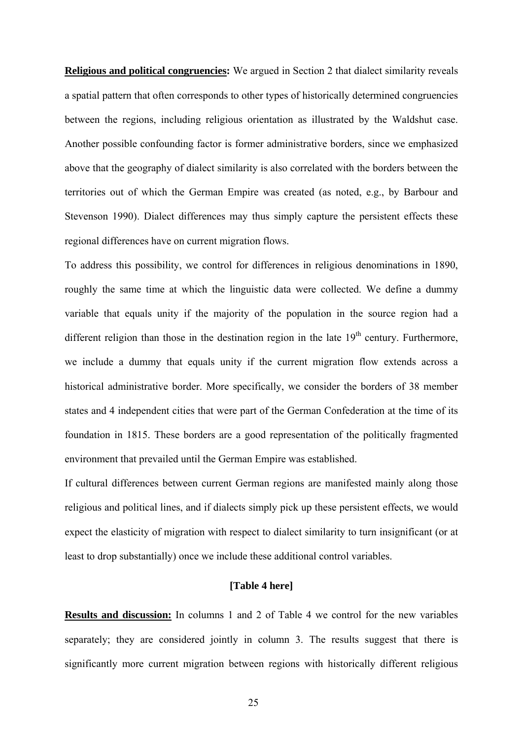**Religious and political congruencies:** We argued in Section 2 that dialect similarity reveals a spatial pattern that often corresponds to other types of historically determined congruencies between the regions, including religious orientation as illustrated by the Waldshut case. Another possible confounding factor is former administrative borders, since we emphasized above that the geography of dialect similarity is also correlated with the borders between the territories out of which the German Empire was created (as noted, e.g., by Barbour and Stevenson 1990). Dialect differences may thus simply capture the persistent effects these regional differences have on current migration flows.

To address this possibility, we control for differences in religious denominations in 1890, roughly the same time at which the linguistic data were collected. We define a dummy variable that equals unity if the majority of the population in the source region had a different religion than those in the destination region in the late  $19<sup>th</sup>$  century. Furthermore, we include a dummy that equals unity if the current migration flow extends across a historical administrative border. More specifically, we consider the borders of 38 member states and 4 independent cities that were part of the German Confederation at the time of its foundation in 1815. These borders are a good representation of the politically fragmented environment that prevailed until the German Empire was established.

If cultural differences between current German regions are manifested mainly along those religious and political lines, and if dialects simply pick up these persistent effects, we would expect the elasticity of migration with respect to dialect similarity to turn insignificant (or at least to drop substantially) once we include these additional control variables.

## **[Table 4 here]**

**Results and discussion:** In columns 1 and 2 of Table 4 we control for the new variables separately; they are considered jointly in column 3. The results suggest that there is significantly more current migration between regions with historically different religious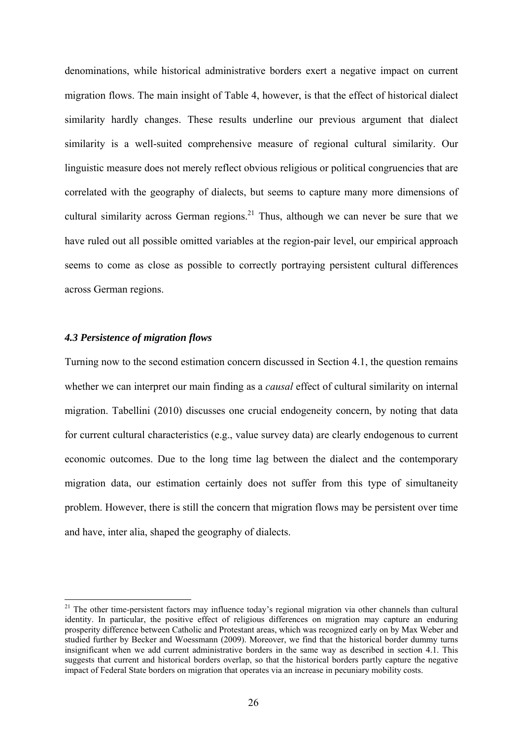denominations, while historical administrative borders exert a negative impact on current migration flows. The main insight of Table 4, however, is that the effect of historical dialect similarity hardly changes. These results underline our previous argument that dialect similarity is a well-suited comprehensive measure of regional cultural similarity. Our linguistic measure does not merely reflect obvious religious or political congruencies that are correlated with the geography of dialects, but seems to capture many more dimensions of cultural similarity across German regions.<sup>21</sup> Thus, although we can never be sure that we have ruled out all possible omitted variables at the region-pair level, our empirical approach seems to come as close as possible to correctly portraying persistent cultural differences across German regions.

## *4.3 Persistence of migration flows*

Turning now to the second estimation concern discussed in Section 4.1, the question remains whether we can interpret our main finding as a *causal* effect of cultural similarity on internal migration. Tabellini (2010) discusses one crucial endogeneity concern, by noting that data for current cultural characteristics (e.g., value survey data) are clearly endogenous to current economic outcomes. Due to the long time lag between the dialect and the contemporary migration data, our estimation certainly does not suffer from this type of simultaneity problem. However, there is still the concern that migration flows may be persistent over time and have, inter alia, shaped the geography of dialects.

<sup>&</sup>lt;sup>21</sup> The other time-persistent factors may influence today's regional migration via other channels than cultural identity. In particular, the positive effect of religious differences on migration may capture an enduring prosperity difference between Catholic and Protestant areas, which was recognized early on by Max Weber and studied further by Becker and Woessmann (2009). Moreover, we find that the historical border dummy turns insignificant when we add current administrative borders in the same way as described in section 4.1. This suggests that current and historical borders overlap, so that the historical borders partly capture the negative impact of Federal State borders on migration that operates via an increase in pecuniary mobility costs.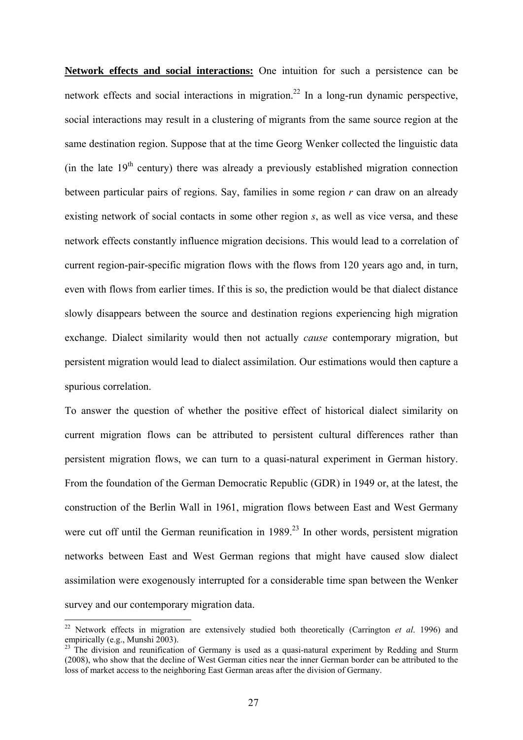**Network effects and social interactions:** One intuition for such a persistence can be network effects and social interactions in migration.<sup>22</sup> In a long-run dynamic perspective, social interactions may result in a clustering of migrants from the same source region at the same destination region. Suppose that at the time Georg Wenker collected the linguistic data (in the late  $19<sup>th</sup>$  century) there was already a previously established migration connection between particular pairs of regions. Say, families in some region *r* can draw on an already existing network of social contacts in some other region *s*, as well as vice versa, and these network effects constantly influence migration decisions. This would lead to a correlation of current region-pair-specific migration flows with the flows from 120 years ago and, in turn, even with flows from earlier times. If this is so, the prediction would be that dialect distance slowly disappears between the source and destination regions experiencing high migration exchange. Dialect similarity would then not actually *cause* contemporary migration, but persistent migration would lead to dialect assimilation. Our estimations would then capture a spurious correlation.

To answer the question of whether the positive effect of historical dialect similarity on current migration flows can be attributed to persistent cultural differences rather than persistent migration flows, we can turn to a quasi-natural experiment in German history. From the foundation of the German Democratic Republic (GDR) in 1949 or, at the latest, the construction of the Berlin Wall in 1961, migration flows between East and West Germany were cut off until the German reunification in  $1989<sup>23</sup>$  In other words, persistent migration networks between East and West German regions that might have caused slow dialect assimilation were exogenously interrupted for a considerable time span between the Wenker survey and our contemporary migration data.

<sup>22</sup> Network effects in migration are extensively studied both theoretically (Carrington *et al*. 1996) and empirically (e.g., Munshi 2003).

 $23$  The division and reunification of Germany is used as a quasi-natural experiment by Redding and Sturm (2008), who show that the decline of West German cities near the inner German border can be attributed to the loss of market access to the neighboring East German areas after the division of Germany.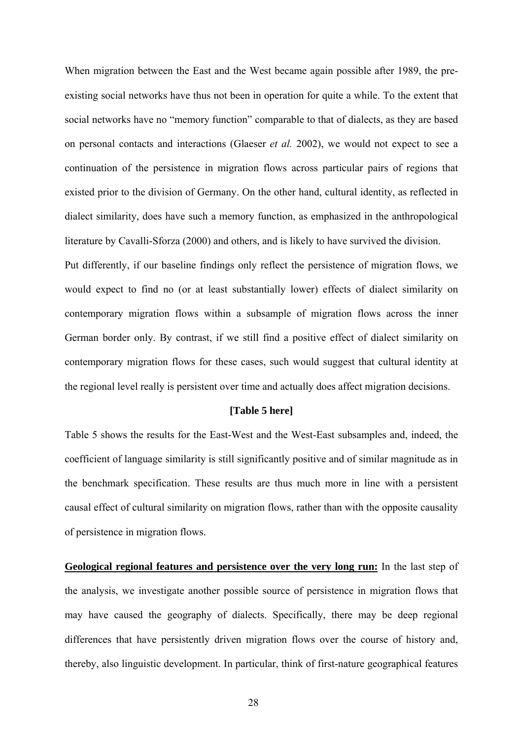When migration between the East and the West became again possible after 1989, the preexisting social networks have thus not been in operation for quite a while. To the extent that social networks have no "memory function" comparable to that of dialects, as they are based on personal contacts and interactions (Glaeser *et al.* 2002), we would not expect to see a continuation of the persistence in migration flows across particular pairs of regions that existed prior to the division of Germany. On the other hand, cultural identity, as reflected in dialect similarity, does have such a memory function, as emphasized in the anthropological literature by Cavalli-Sforza (2000) and others, and is likely to have survived the division. Put differently, if our baseline findings only reflect the persistence of migration flows, we would expect to find no (or at least substantially lower) effects of dialect similarity on contemporary migration flows within a subsample of migration flows across the inner German border only. By contrast, if we still find a positive effect of dialect similarity on contemporary migration flows for these cases, such would suggest that cultural identity at the regional level really is persistent over time and actually does affect migration decisions.

## **[Table 5 here]**

Table 5 shows the results for the East-West and the West-East subsamples and, indeed, the coefficient of language similarity is still significantly positive and of similar magnitude as in the benchmark specification. These results are thus much more in line with a persistent causal effect of cultural similarity on migration flows, rather than with the opposite causality of persistence in migration flows.

**Geological regional features and persistence over the very long run:** In the last step of the analysis, we investigate another possible source of persistence in migration flows that may have caused the geography of dialects. Specifically, there may be deep regional differences that have persistently driven migration flows over the course of history and, thereby, also linguistic development. In particular, think of first-nature geographical features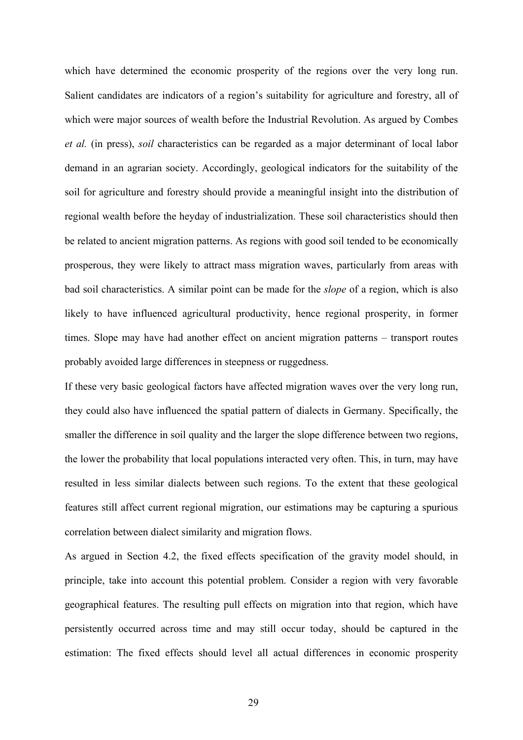which have determined the economic prosperity of the regions over the very long run. Salient candidates are indicators of a region's suitability for agriculture and forestry, all of which were major sources of wealth before the Industrial Revolution. As argued by Combes *et al.* (in press), *soil* characteristics can be regarded as a major determinant of local labor demand in an agrarian society. Accordingly, geological indicators for the suitability of the soil for agriculture and forestry should provide a meaningful insight into the distribution of regional wealth before the heyday of industrialization. These soil characteristics should then be related to ancient migration patterns. As regions with good soil tended to be economically prosperous, they were likely to attract mass migration waves, particularly from areas with bad soil characteristics. A similar point can be made for the *slope* of a region, which is also likely to have influenced agricultural productivity, hence regional prosperity, in former times. Slope may have had another effect on ancient migration patterns – transport routes probably avoided large differences in steepness or ruggedness.

If these very basic geological factors have affected migration waves over the very long run, they could also have influenced the spatial pattern of dialects in Germany. Specifically, the smaller the difference in soil quality and the larger the slope difference between two regions, the lower the probability that local populations interacted very often. This, in turn, may have resulted in less similar dialects between such regions. To the extent that these geological features still affect current regional migration, our estimations may be capturing a spurious correlation between dialect similarity and migration flows.

As argued in Section 4.2, the fixed effects specification of the gravity model should, in principle, take into account this potential problem. Consider a region with very favorable geographical features. The resulting pull effects on migration into that region, which have persistently occurred across time and may still occur today, should be captured in the estimation: The fixed effects should level all actual differences in economic prosperity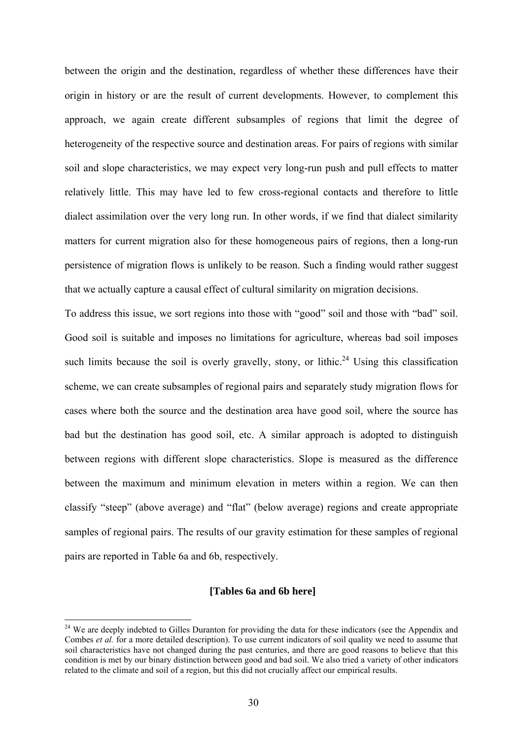between the origin and the destination, regardless of whether these differences have their origin in history or are the result of current developments. However, to complement this approach, we again create different subsamples of regions that limit the degree of heterogeneity of the respective source and destination areas. For pairs of regions with similar soil and slope characteristics, we may expect very long-run push and pull effects to matter relatively little. This may have led to few cross-regional contacts and therefore to little dialect assimilation over the very long run. In other words, if we find that dialect similarity matters for current migration also for these homogeneous pairs of regions, then a long-run persistence of migration flows is unlikely to be reason. Such a finding would rather suggest that we actually capture a causal effect of cultural similarity on migration decisions.

To address this issue, we sort regions into those with "good" soil and those with "bad" soil. Good soil is suitable and imposes no limitations for agriculture, whereas bad soil imposes such limits because the soil is overly gravelly, stony, or lithic.<sup>24</sup> Using this classification scheme, we can create subsamples of regional pairs and separately study migration flows for cases where both the source and the destination area have good soil, where the source has bad but the destination has good soil, etc. A similar approach is adopted to distinguish between regions with different slope characteristics. Slope is measured as the difference between the maximum and minimum elevation in meters within a region. We can then classify "steep" (above average) and "flat" (below average) regions and create appropriate samples of regional pairs. The results of our gravity estimation for these samples of regional pairs are reported in Table 6a and 6b, respectively.

## **[Tables 6a and 6b here]**

<sup>&</sup>lt;sup>24</sup> We are deeply indebted to Gilles Duranton for providing the data for these indicators (see the Appendix and Combes *et al.* for a more detailed description). To use current indicators of soil quality we need to assume that soil characteristics have not changed during the past centuries, and there are good reasons to believe that this condition is met by our binary distinction between good and bad soil. We also tried a variety of other indicators related to the climate and soil of a region, but this did not crucially affect our empirical results.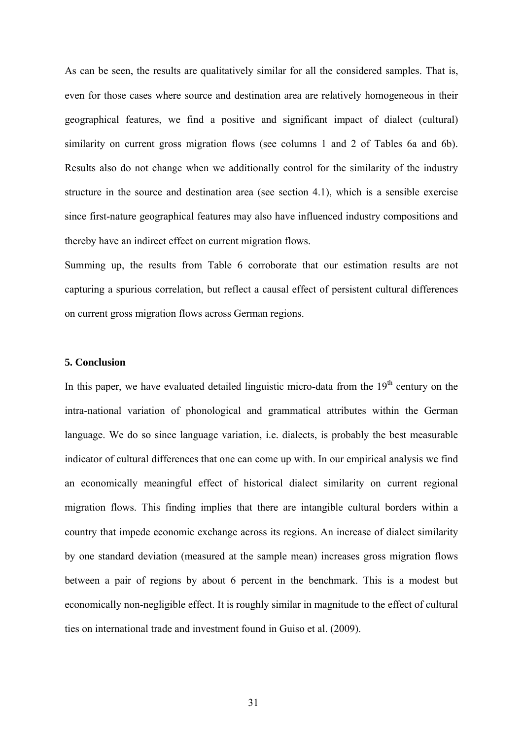As can be seen, the results are qualitatively similar for all the considered samples. That is, even for those cases where source and destination area are relatively homogeneous in their geographical features, we find a positive and significant impact of dialect (cultural) similarity on current gross migration flows (see columns 1 and 2 of Tables 6a and 6b). Results also do not change when we additionally control for the similarity of the industry structure in the source and destination area (see section 4.1), which is a sensible exercise since first-nature geographical features may also have influenced industry compositions and thereby have an indirect effect on current migration flows.

Summing up, the results from Table 6 corroborate that our estimation results are not capturing a spurious correlation, but reflect a causal effect of persistent cultural differences on current gross migration flows across German regions.

## **5. Conclusion**

In this paper, we have evaluated detailed linguistic micro-data from the  $19<sup>th</sup>$  century on the intra-national variation of phonological and grammatical attributes within the German language. We do so since language variation, i.e. dialects, is probably the best measurable indicator of cultural differences that one can come up with. In our empirical analysis we find an economically meaningful effect of historical dialect similarity on current regional migration flows. This finding implies that there are intangible cultural borders within a country that impede economic exchange across its regions. An increase of dialect similarity by one standard deviation (measured at the sample mean) increases gross migration flows between a pair of regions by about 6 percent in the benchmark. This is a modest but economically non-negligible effect. It is roughly similar in magnitude to the effect of cultural ties on international trade and investment found in Guiso et al. (2009).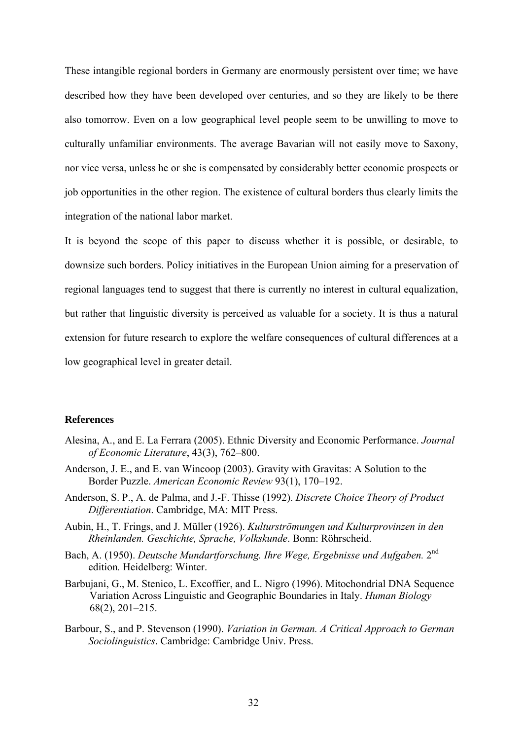These intangible regional borders in Germany are enormously persistent over time; we have described how they have been developed over centuries, and so they are likely to be there also tomorrow. Even on a low geographical level people seem to be unwilling to move to culturally unfamiliar environments. The average Bavarian will not easily move to Saxony, nor vice versa, unless he or she is compensated by considerably better economic prospects or job opportunities in the other region. The existence of cultural borders thus clearly limits the integration of the national labor market.

It is beyond the scope of this paper to discuss whether it is possible, or desirable, to downsize such borders. Policy initiatives in the European Union aiming for a preservation of regional languages tend to suggest that there is currently no interest in cultural equalization, but rather that linguistic diversity is perceived as valuable for a society. It is thus a natural extension for future research to explore the welfare consequences of cultural differences at a low geographical level in greater detail.

## **References**

- Alesina, A., and E. La Ferrara (2005). Ethnic Diversity and Economic Performance. *Journal of Economic Literature*, 43(3), 762–800.
- Anderson, J. E., and E. van Wincoop (2003). Gravity with Gravitas: A Solution to the Border Puzzle. *American Economic Review* 93(1), 170–192.
- Anderson, S. P., A. de Palma, and J.-F. Thisse (1992). *Discrete Choice Theory of Product Differentiation*. Cambridge, MA: MIT Press.
- Aubin, H., T. Frings, and J. Müller (1926). *Kulturströmungen und Kulturprovinzen in den Rheinlanden. Geschichte, Sprache, Volkskunde*. Bonn: Röhrscheid.
- Bach, A. (1950). *Deutsche Mundartforschung. Ihre Wege, Ergebnisse und Aufgaben.* 2nd edition*.* Heidelberg: Winter.
- Barbujani, G., M. Stenico, L. Excoffier, and L. Nigro (1996). Mitochondrial DNA Sequence Variation Across Linguistic and Geographic Boundaries in Italy. *Human Biology* 68(2), 201–215.
- Barbour, S., and P. Stevenson (1990). *Variation in German. A Critical Approach to German Sociolinguistics*. Cambridge: Cambridge Univ. Press.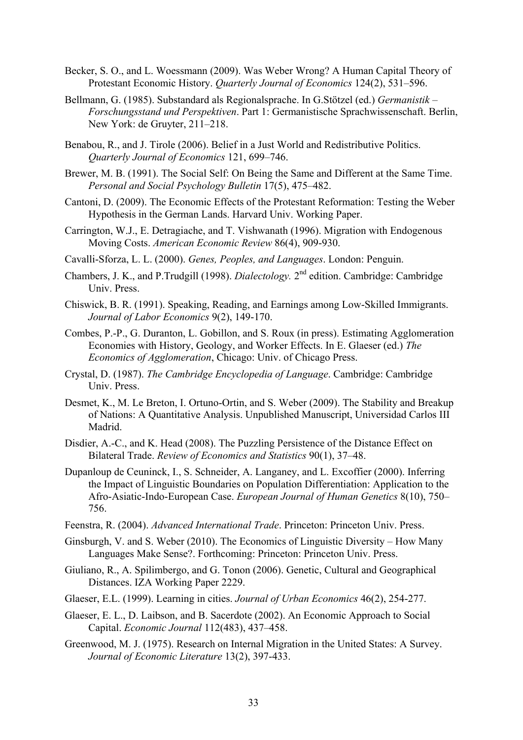- Becker, S. O., and L. Woessmann (2009). Was Weber Wrong? A Human Capital Theory of Protestant Economic History. *Quarterly Journal of Economics* 124(2), 531–596.
- Bellmann, G. (1985). Substandard als Regionalsprache. In G.Stötzel (ed.) *Germanistik Forschungsstand und Perspektiven*. Part 1: Germanistische Sprachwissenschaft. Berlin, New York: de Gruyter, 211–218.
- Benabou, R., and J. Tirole (2006). Belief in a Just World and Redistributive Politics. *Quarterly Journal of Economics* 121, 699–746.
- Brewer, M. B. (1991). The Social Self: On Being the Same and Different at the Same Time. *Personal and Social Psychology Bulletin* 17(5), 475–482.
- Cantoni, D. (2009). The Economic Effects of the Protestant Reformation: Testing the Weber Hypothesis in the German Lands. Harvard Univ. Working Paper.
- Carrington, W.J., E. Detragiache, and T. Vishwanath (1996). Migration with Endogenous Moving Costs. *American Economic Review* 86(4), 909-930.
- Cavalli-Sforza, L. L. (2000). *Genes, Peoples, and Languages*. London: Penguin.
- Chambers, J. K., and P.Trudgill (1998). *Dialectology.* 2nd edition. Cambridge: Cambridge Univ. Press.
- Chiswick, B. R. (1991). Speaking, Reading, and Earnings among Low-Skilled Immigrants. *Journal of Labor Economics* 9(2), 149-170.
- Combes, P.-P., G. Duranton, L. Gobillon, and S. Roux (in press). Estimating Agglomeration Economies with History, Geology, and Worker Effects. In E. Glaeser (ed.) *The Economics of Agglomeration*, Chicago: Univ. of Chicago Press.
- Crystal, D. (1987). *The Cambridge Encyclopedia of Language*. Cambridge: Cambridge Univ. Press.
- Desmet, K., M. Le Breton, I. Ortuno-Ortin, and S. Weber (2009). The Stability and Breakup of Nations: A Quantitative Analysis. Unpublished Manuscript, Universidad Carlos III Madrid.
- Disdier, A.-C., and K. Head (2008). The Puzzling Persistence of the Distance Effect on Bilateral Trade. *Review of Economics and Statistics* 90(1), 37–48.
- Dupanloup de Ceuninck, I., S. Schneider, A. Langaney, and L. Excoffier (2000). Inferring the Impact of Linguistic Boundaries on Population Differentiation: Application to the Afro-Asiatic-Indo-European Case. *European Journal of Human Genetics* 8(10), 750– 756.
- Feenstra, R. (2004). *Advanced International Trade*. Princeton: Princeton Univ. Press.
- Ginsburgh, V. and S. Weber (2010). The Economics of Linguistic Diversity How Many Languages Make Sense?. Forthcoming: Princeton: Princeton Univ. Press.
- Giuliano, R., A. Spilimbergo, and G. Tonon (2006). Genetic, Cultural and Geographical Distances. IZA Working Paper 2229.
- Glaeser, E.L. (1999). Learning in cities. *Journal of Urban Economics* 46(2), 254-277.
- Glaeser, E. L., D. Laibson, and B. Sacerdote (2002). An Economic Approach to Social Capital. *Economic Journal* 112(483), 437–458.
- Greenwood, M. J. (1975). Research on Internal Migration in the United States: A Survey. *Journal of Economic Literature* 13(2), 397-433.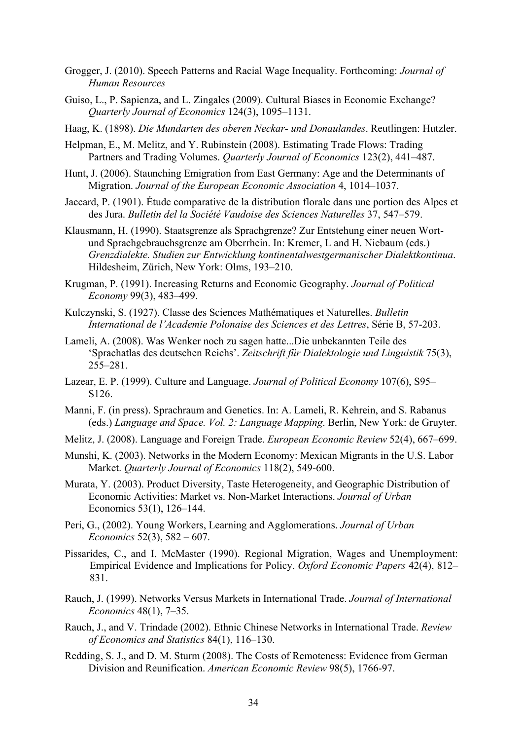- Grogger, J. (2010). Speech Patterns and Racial Wage Inequality. Forthcoming: *Journal of Human Resources*
- Guiso, L., P. Sapienza, and L. Zingales (2009). Cultural Biases in Economic Exchange? *Quarterly Journal of Economics* 124(3), 1095–1131.
- Haag, K. (1898). *Die Mundarten des oberen Neckar- und Donaulandes*. Reutlingen: Hutzler.
- Helpman, E., M. Melitz, and Y. Rubinstein (2008). Estimating Trade Flows: Trading Partners and Trading Volumes. *Quarterly Journal of Economics* 123(2), 441–487.
- Hunt, J. (2006). Staunching Emigration from East Germany: Age and the Determinants of Migration. *Journal of the European Economic Association* 4, 1014–1037.
- Jaccard, P. (1901). Étude comparative de la distribution florale dans une portion des Alpes et des Jura. *Bulletin del la Société Vaudoise des Sciences Naturelles* 37, 547–579.
- Klausmann, H. (1990). Staatsgrenze als Sprachgrenze? Zur Entstehung einer neuen Wortund Sprachgebrauchsgrenze am Oberrhein. In: Kremer, L and H. Niebaum (eds.) *Grenzdialekte. Studien zur Entwicklung kontinentalwestgermanischer Dialektkontinua*. Hildesheim, Zürich, New York: Olms, 193–210.
- Krugman, P. (1991). Increasing Returns and Economic Geography. *Journal of Political Economy* 99(3), 483–499.
- Kulczynski, S. (1927). Classe des Sciences Mathématiques et Naturelles. *Bulletin International de l'Academie Polonaise des Sciences et des Lettres*, Série B, 57-203.
- Lameli, A. (2008). Was Wenker noch zu sagen hatte...Die unbekannten Teile des 'Sprachatlas des deutschen Reichs'. *Zeitschrift für Dialektologie und Linguistik* 75(3), 255–281.
- Lazear, E. P. (1999). Culture and Language. *Journal of Political Economy* 107(6), S95– S126.
- Manni, F. (in press). Sprachraum and Genetics. In: A. Lameli, R. Kehrein, and S. Rabanus (eds.) *Language and Space. Vol. 2: Language Mapping*. Berlin, New York: de Gruyter.
- Melitz, J. (2008). Language and Foreign Trade. *European Economic Review* 52(4), 667–699.
- Munshi, K. (2003). Networks in the Modern Economy: Mexican Migrants in the U.S. Labor Market. *Quarterly Journal of Economics* 118(2), 549-600.
- Murata, Y. (2003). Product Diversity, Taste Heterogeneity, and Geographic Distribution of Economic Activities: Market vs. Non-Market Interactions. *Journal of Urban*  Economics 53(1), 126–144.
- Peri, G., (2002). Young Workers, Learning and Agglomerations. *Journal of Urban Economics* 52(3), 582 – 607.
- Pissarides, C., and I. McMaster (1990). Regional Migration, Wages and Unemployment: Empirical Evidence and Implications for Policy. *Oxford Economic Papers* 42(4), 812– 831.
- Rauch, J. (1999). Networks Versus Markets in International Trade. *Journal of International Economics* 48(1), 7–35.
- Rauch, J., and V. Trindade (2002). Ethnic Chinese Networks in International Trade. *Review of Economics and Statistics* 84(1), 116–130.
- Redding, S. J., and D. M. Sturm (2008). The Costs of Remoteness: Evidence from German Division and Reunification. *American Economic Review* 98(5), 1766-97.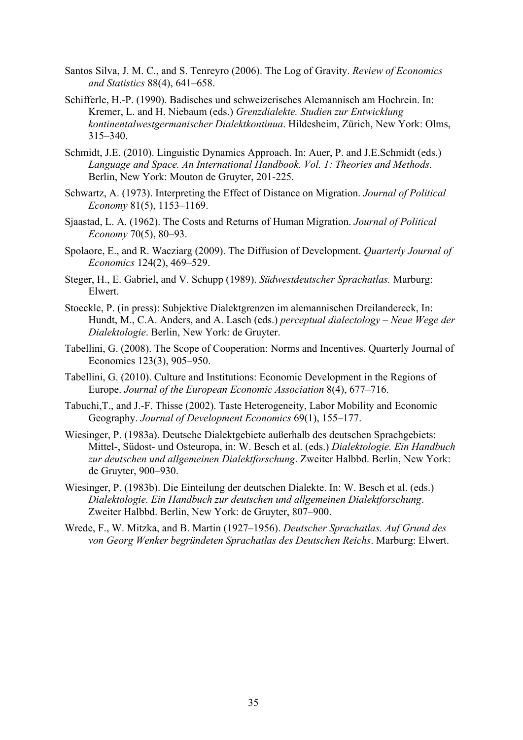- Santos Silva, J. M. C., and S. Tenreyro (2006). The Log of Gravity. *Review of Economics and Statistics* 88(4), 641–658.
- Schifferle, H.-P. (1990). Badisches und schweizerisches Alemannisch am Hochrein. In: Kremer, L. and H. Niebaum (eds.) *Grenzdialekte. Studien zur Entwicklung kontinentalwestgermanischer Dialektkontinua*. Hildesheim, Zürich, New York: Olms, 315–340.
- Schmidt, J.E. (2010). Linguistic Dynamics Approach. In: Auer, P. and J.E.Schmidt (eds.) *Language and Space. An International Handbook. Vol. 1: Theories and Methods*. Berlin, New York: Mouton de Gruyter, 201-225.
- Schwartz, A. (1973). Interpreting the Effect of Distance on Migration. *Journal of Political Economy* 81(5), 1153–1169.
- Sjaastad, L. A. (1962). The Costs and Returns of Human Migration. *Journal of Political Economy* 70(5), 80–93.
- Spolaore, E., and R. Wacziarg (2009). The Diffusion of Development. *Quarterly Journal of Economics* 124(2), 469–529.
- Steger, H., E. Gabriel, and V. Schupp (1989). *Südwestdeutscher Sprachatlas.* Marburg: Elwert.
- Stoeckle, P. (in press): Subjektive Dialektgrenzen im alemannischen Dreilandereck, In: Hundt, M., C.A. Anders, and A. Lasch (eds.) *perceptual dialectology – Neue Wege der Dialektologie*. Berlin, New York: de Gruyter.
- Tabellini, G. (2008). The Scope of Cooperation: Norms and Incentives. Quarterly Journal of Economics 123(3), 905–950.
- Tabellini, G. (2010). Culture and Institutions: Economic Development in the Regions of Europe. *Journal of the European Economic Association* 8(4), 677–716.
- Tabuchi,T., and J.-F. Thisse (2002). Taste Heterogeneity, Labor Mobility and Economic Geography. *Journal of Development Economics* 69(1), 155–177.
- Wiesinger, P. (1983a). Deutsche Dialektgebiete außerhalb des deutschen Sprachgebiets: Mittel-, Südost- und Osteuropa, in: W. Besch et al. (eds.) *Dialektologie. Ein Handbuch zur deutschen und allgemeinen Dialektforschung*. Zweiter Halbbd. Berlin, New York: de Gruyter, 900–930.
- Wiesinger, P. (1983b). Die Einteilung der deutschen Dialekte. In: W. Besch et al. (eds.) *Dialektologie. Ein Handbuch zur deutschen und allgemeinen Dialektforschung*. Zweiter Halbbd. Berlin, New York: de Gruyter, 807–900.
- Wrede, F., W. Mitzka, and B. Martin (1927–1956). *Deutscher Sprachatlas. Auf Grund des von Georg Wenker begründeten Sprachatlas des Deutschen Reichs*. Marburg: Elwert.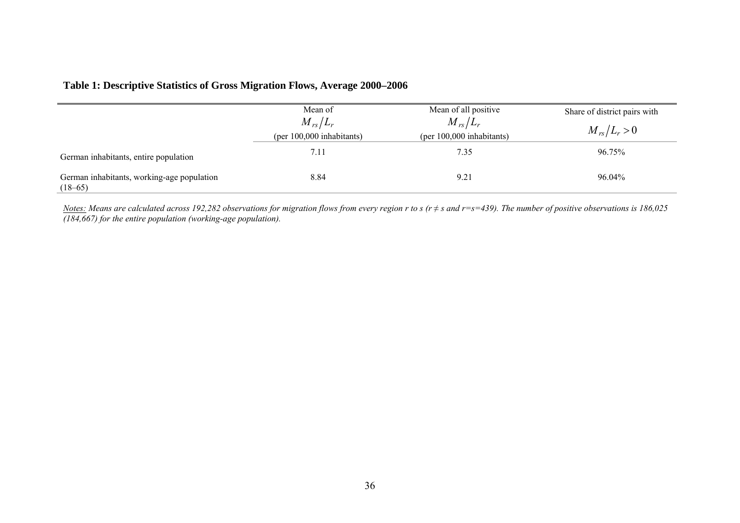# **Table 1: Descriptive Statistics of Gross Migration Flows, Average 2000–2006**

|                                                         | Mean of<br>$M_{rs}/L_r$           | Mean of all positive<br>$M_{rs}/L_r$ | Share of district pairs with<br>$M_{rs}/L_r > 0$ |
|---------------------------------------------------------|-----------------------------------|--------------------------------------|--------------------------------------------------|
| German inhabitants, entire population                   | (per 100,000 inhabitants)<br>7.11 | (per 100,000 inhabitants)<br>7.35    | 96.75%                                           |
| German inhabitants, working-age population<br>$(18-65)$ | 8.84                              | 9.21                                 | 96.04%                                           |

*Notes: Means are calculated across 192,282 observations for migration flows from every region r to s (r ≠ s and r=s=439). The number of positive observations is 186,025 (184,667) for the entire population (working-age population).*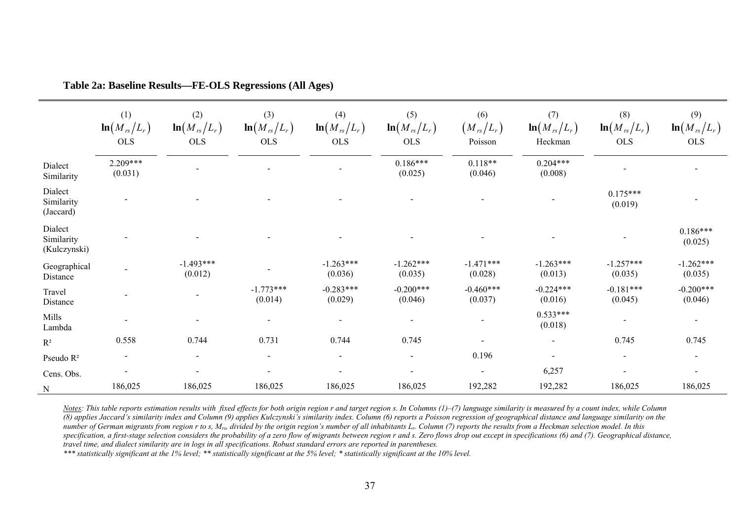|                                       | (1)<br>$\ln(M_{rs}/L_r)$<br><b>OLS</b> | (2)<br>$\ln(M_{rs}/L_r)$<br><b>OLS</b> | (3)<br>$\ln(M_{rs}/L_r)$<br><b>OLS</b> | (4)<br>$\ln(M_{rs}/L_r)$<br><b>OLS</b> | (5)<br>$\ln(M_{rs}/L_r)$<br><b>OLS</b> | (6)<br>$\left( {\left. {M_{\rm{\,rs}} / L_{r}} \right)} \right.$<br>Poisson | (7)<br>$\ln(M_{rs}/L_r)$<br>Heckman | (8)<br>$\ln(M_{rs}/L_r)$<br><b>OLS</b> | (9)<br>$\ln(M_{rs}/L_r)$<br><b>OLS</b> |
|---------------------------------------|----------------------------------------|----------------------------------------|----------------------------------------|----------------------------------------|----------------------------------------|-----------------------------------------------------------------------------|-------------------------------------|----------------------------------------|----------------------------------------|
| Dialect<br>Similarity                 | 2.209***<br>(0.031)                    |                                        |                                        |                                        | $0.186***$<br>(0.025)                  | $0.118**$<br>(0.046)                                                        | $0.204***$<br>(0.008)               |                                        |                                        |
| Dialect<br>Similarity<br>(Jaccard)    |                                        |                                        |                                        |                                        |                                        |                                                                             |                                     | $0.175***$<br>(0.019)                  |                                        |
| Dialect<br>Similarity<br>(Kulczynski) |                                        |                                        |                                        |                                        |                                        |                                                                             |                                     |                                        | $0.186***$<br>(0.025)                  |
| Geographical<br>Distance              |                                        | $-1.493***$<br>(0.012)                 |                                        | $-1.263***$<br>(0.036)                 | $-1.262***$<br>(0.035)                 | $-1.471***$<br>(0.028)                                                      | $-1.263***$<br>(0.013)              | $-1.257***$<br>(0.035)                 | $-1.262***$<br>(0.035)                 |
| Travel<br>Distance                    |                                        |                                        | $-1.773***$<br>(0.014)                 | $-0.283***$<br>(0.029)                 | $-0.200***$<br>(0.046)                 | $-0.460***$<br>(0.037)                                                      | $-0.224***$<br>(0.016)              | $-0.181***$<br>(0.045)                 | $-0.200***$<br>(0.046)                 |
| Mills<br>Lambda                       |                                        |                                        |                                        |                                        |                                        |                                                                             | $0.533***$<br>(0.018)               |                                        | $\overline{\phantom{a}}$               |
| $R^2$                                 | 0.558                                  | 0.744                                  | 0.731                                  | 0.744                                  | 0.745                                  |                                                                             | $\overline{\phantom{a}}$            | 0.745                                  | 0.745                                  |
| Pseudo R <sup>2</sup>                 | $\overline{\phantom{a}}$               | $\overline{\phantom{a}}$               | $\sim$                                 | $\sim$                                 | $\blacksquare$                         | 0.196                                                                       | $\blacksquare$                      | $\blacksquare$                         | $\overline{\phantom{a}}$               |
| Cens. Obs.                            |                                        |                                        |                                        |                                        | $\blacksquare$                         | $\overline{\phantom{a}}$                                                    | 6,257                               |                                        | $\sim$                                 |
| ${\bf N}$                             | 186,025                                | 186,025                                | 186,025                                | 186,025                                | 186,025                                | 192,282                                                                     | 192,282                             | 186,025                                | 186,025                                |

**Table 2a: Baseline Results—FE-OLS Regressions (All Ages)** 

*Notes: This table reports estimation results with fixed effects for both origin region r and target region s. In Columns (1)–(7) language similarity is measured by a count index, while Column (8) applies Jaccard's similarity index and Column (9) applies Kulczynski's similarity index. Column (6) reports a Poisson regression of geographical distance and language similarity on the number of German migrants from region r to s, Mrs, divided by the origin region's number of all inhabitants Lr. Column (7) reports the results from a Heckman selection model. In this*  specification, a first-stage selection considers the probability of a zero flow of migrants between region r and s. Zero flows drop out except in specifications (6) and (7). Geographical distance, *travel time, and dialect similarity are in logs in all specifications. Robust standard errors are reported in parentheses.*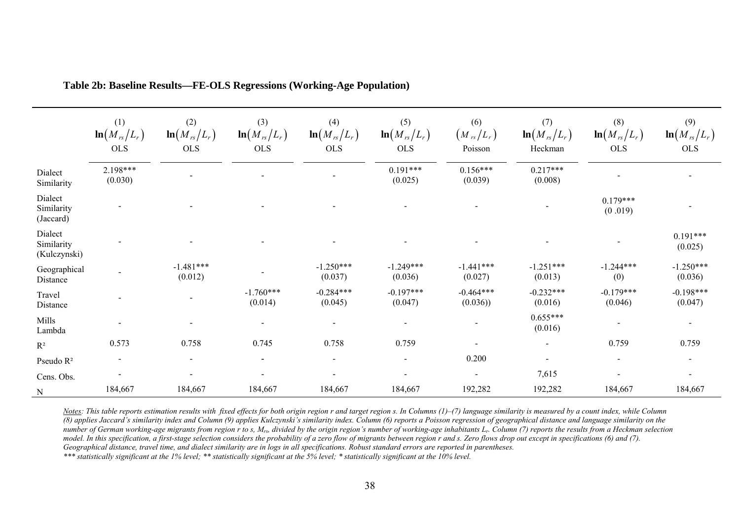|                                       | (1)<br>$\ln(M_{rs}/L_r)$<br><b>OLS</b> | (2)<br>$\ln(M_{rs}/L_r)$<br><b>OLS</b> | (3)<br>$\ln(M_{rs}/L_r)$<br><b>OLS</b> | (4)<br>$\ln(M_{rs}/L_r)$<br><b>OLS</b> | (5)<br>$\ln(M_{rs}/L_r)$<br><b>OLS</b> | (6)<br>$\left(M_{rs}/L_{r}\right)$<br>Poisson | (7)<br>$\ln(M_{rs}/L_r)$<br>Heckman | (8)<br>$\ln(M_{rs}/L_r)$<br><b>OLS</b> | (9)<br>$\ln(M_{rs}/L_r)$<br><b>OLS</b> |
|---------------------------------------|----------------------------------------|----------------------------------------|----------------------------------------|----------------------------------------|----------------------------------------|-----------------------------------------------|-------------------------------------|----------------------------------------|----------------------------------------|
| Dialect<br>Similarity                 | $2.198***$<br>(0.030)                  |                                        |                                        |                                        | $0.191***$<br>(0.025)                  | $0.156***$<br>(0.039)                         | $0.217***$<br>(0.008)               |                                        |                                        |
| Dialect<br>Similarity<br>(Jaccard)    |                                        |                                        |                                        |                                        |                                        |                                               |                                     | $0.179***$<br>(0.019)                  |                                        |
| Dialect<br>Similarity<br>(Kulczynski) |                                        |                                        |                                        |                                        |                                        |                                               |                                     |                                        | $0.191***$<br>(0.025)                  |
| Geographical<br>Distance              |                                        | $-1.481***$<br>(0.012)                 |                                        | $-1.250***$<br>(0.037)                 | $-1.249***$<br>(0.036)                 | $-1.441***$<br>(0.027)                        | $-1.251***$<br>(0.013)              | $-1.244***$<br>(0)                     | $-1.250***$<br>(0.036)                 |
| Travel<br>Distance                    |                                        |                                        | $-1.760***$<br>(0.014)                 | $-0.284***$<br>(0.045)                 | $-0.197***$<br>(0.047)                 | $-0.464***$<br>(0.036)                        | $-0.232***$<br>(0.016)              | $-0.179***$<br>(0.046)                 | $-0.198***$<br>(0.047)                 |
| Mills<br>Lambda                       |                                        |                                        |                                        |                                        |                                        |                                               | $0.655***$<br>(0.016)               |                                        |                                        |
| $\mathbf{R}^2$                        | 0.573                                  | 0.758                                  | 0.745                                  | 0.758                                  | 0.759                                  |                                               | $\sim$                              | 0.759                                  | 0.759                                  |
| Pseudo R <sup>2</sup>                 | $\blacksquare$                         | $\overline{\phantom{0}}$               | $\sim$                                 | $\blacksquare$                         | $\blacksquare$                         | 0.200                                         | $\overline{\phantom{0}}$            | $\blacksquare$                         | $\overline{\phantom{a}}$               |
| Cens. Obs.                            |                                        |                                        |                                        |                                        | $\overline{\phantom{a}}$               | $\overline{\phantom{a}}$                      | 7,615                               |                                        |                                        |
| ${\bf N}$                             | 184,667                                | 184,667                                | 184,667                                | 184,667                                | 184,667                                | 192,282                                       | 192,282                             | 184,667                                | 184,667                                |

**Table 2b: Baseline Results—FE-OLS Regressions (Working-Age Population)** 

*Notes: This table reports estimation results with fixed effects for both origin region r and target region s. In Columns (1)–(7) language similarity is measured by a count index, while Column (8) applies Jaccard's similarity index and Column (9) applies Kulczynski's similarity index. Column (6) reports a Poisson regression of geographical distance and language similarity on the number of German working-age migrants from region r to s, M<sub>rs</sub>, divided by the origin region's number of working-age inhabitants L<sub>r</sub>. Column (7) reports the results from a Heckman selection model. In this specification, a first-stage selection considers the probability of a zero flow of migrants between region r and s. Zero flows drop out except in specifications (6) and (7). Geographical distance, travel time, and dialect similarity are in logs in all specifications. Robust standard errors are reported in parentheses.*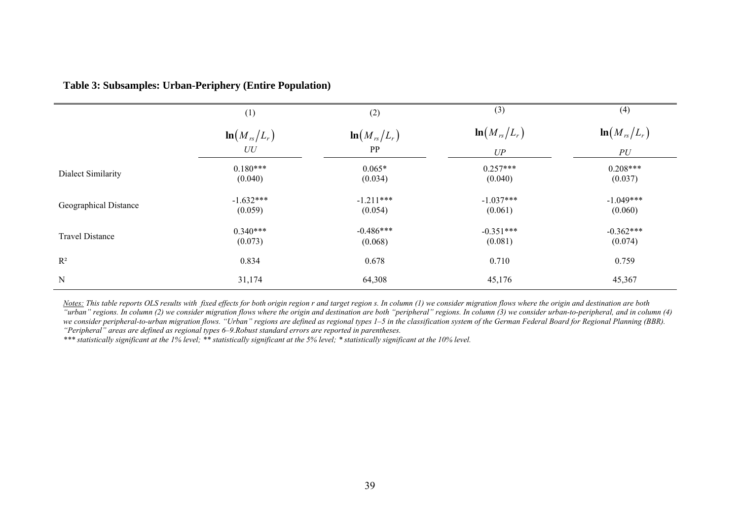|                        | (1)                    | (2)                    | (3)                    | (4)                    |
|------------------------|------------------------|------------------------|------------------------|------------------------|
|                        | $\ln(M_{rs}/L_r)$      | $\ln(M_{rs}/L_r)$      | $\ln(M_{rs}/L_r)$      | $\ln(M_{rs}/L_r)$      |
|                        | ${\cal U}{\cal U}$     | PP                     | UP                     | ${\cal {PU}}$          |
| Dialect Similarity     | $0.180***$<br>(0.040)  | $0.065*$<br>(0.034)    | $0.257***$<br>(0.040)  | $0.208***$<br>(0.037)  |
| Geographical Distance  | $-1.632***$<br>(0.059) | $-1.211***$<br>(0.054) | $-1.037***$<br>(0.061) | $-1.049***$<br>(0.060) |
| <b>Travel Distance</b> | $0.340***$<br>(0.073)  | $-0.486***$<br>(0.068) | $-0.351***$<br>(0.081) | $-0.362***$<br>(0.074) |
| $R^2$                  | 0.834                  | 0.678                  | 0.710                  | 0.759                  |
| ${\bf N}$              | 31,174                 | 64,308                 | 45,176                 | 45,367                 |

## **Table 3: Subsamples: Urban-Periphery (Entire Population)**

*Notes: This table reports OLS results with fixed effects for both origin region r and target region s. In column (1) we consider migration flows where the origin and destination are both "urban" regions. In column (2) we consider migration flows where the origin and destination are both "peripheral" regions. In column (3) we consider urban-to-peripheral, and in column (4)*  we consider peripheral-to-urban migration flows. "Urban" regions are defined as regional types 1–5 in the classification system of the German Federal Board for Regional Planning (BBR). *"Peripheral" areas are defined as regional types 6–9.Robust standard errors are reported in parentheses.*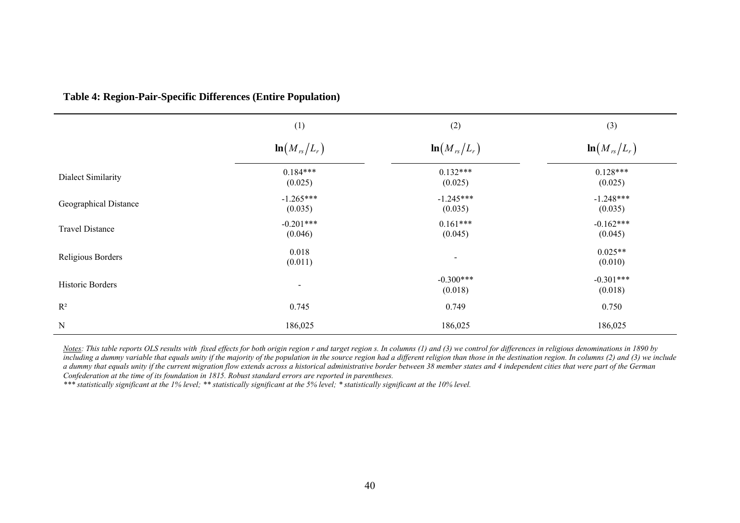|                        | (1)                    | (2)                      | (3)                    |
|------------------------|------------------------|--------------------------|------------------------|
|                        | $\ln(M_{rs}/L_r)$      | $\ln(M_{rs}/L_r)$        | $\ln(M_{rs}/L_r)$      |
| Dialect Similarity     | $0.184***$<br>(0.025)  | $0.132***$<br>(0.025)    | $0.128***$<br>(0.025)  |
| Geographical Distance  | $-1.265***$<br>(0.035) | $-1.245***$<br>(0.035)   | $-1.248***$<br>(0.035) |
| <b>Travel Distance</b> | $-0.201***$<br>(0.046) | $0.161***$<br>(0.045)    | $-0.162***$<br>(0.045) |
| Religious Borders      | 0.018<br>(0.011)       | $\overline{\phantom{0}}$ | $0.025**$<br>(0.010)   |
| Historic Borders       | $\sim$                 | $-0.300***$<br>(0.018)   | $-0.301***$<br>(0.018) |
| $R^2$                  | 0.745                  | 0.749                    | 0.750                  |
| $\mathbf N$            | 186,025                | 186,025                  | 186,025                |

**Table 4: Region-Pair-Specific Differences (Entire Population)**

*Notes: This table reports OLS results with fixed effects for both origin region r and target region s. In columns (1) and (3) we control for differences in religious denominations in 1890 by including a dummy variable that equals unity if the majority of the population in the source region had a different religion than those in the destination region. In columns (2) and (3) we include*  a dummy that equals unity if the current migration flow extends across a historical administrative border between 38 member states and 4 independent cities that were part of the German *Confederation at the time of its foundation in 1815. Robust standard errors are reported in parentheses.*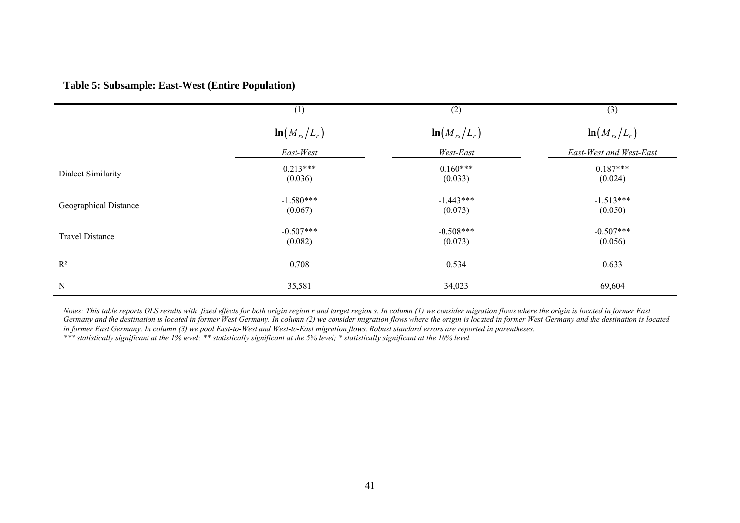|                        | (1)                    | (2)                    | (3)                     |
|------------------------|------------------------|------------------------|-------------------------|
|                        | $\ln(M_{rs}/L_r)$      | $\ln(M_{rs}/L_r)$      | $\ln(M_{rs}/L_r)$       |
|                        | East-West              | West-East              | East-West and West-East |
| Dialect Similarity     | $0.213***$<br>(0.036)  | $0.160***$<br>(0.033)  | $0.187***$<br>(0.024)   |
| Geographical Distance  | $-1.580***$<br>(0.067) | $-1.443***$<br>(0.073) | $-1.513***$<br>(0.050)  |
| <b>Travel Distance</b> | $-0.507***$<br>(0.082) | $-0.508***$<br>(0.073) | $-0.507***$<br>(0.056)  |
| $R^2$                  | 0.708                  | 0.534                  | 0.633                   |
| N                      | 35,581                 | 34,023                 | 69,604                  |

*Notes: This table reports OLS results with fixed effects for both origin region r and target region s. In column (1) we consider migration flows where the origin is located in former East Germany and the destination is located in former West Germany. In column (2) we consider migration flows where the origin is located in former West Germany and the destination is located in former East Germany. In column (3) we pool East-to-West and West-to-East migration flows. Robust standard errors are reported in parentheses. \*\*\* statistically significant at the 1% level; \*\* statistically significant at the 5% level; \* statistically significant at the 10% level.*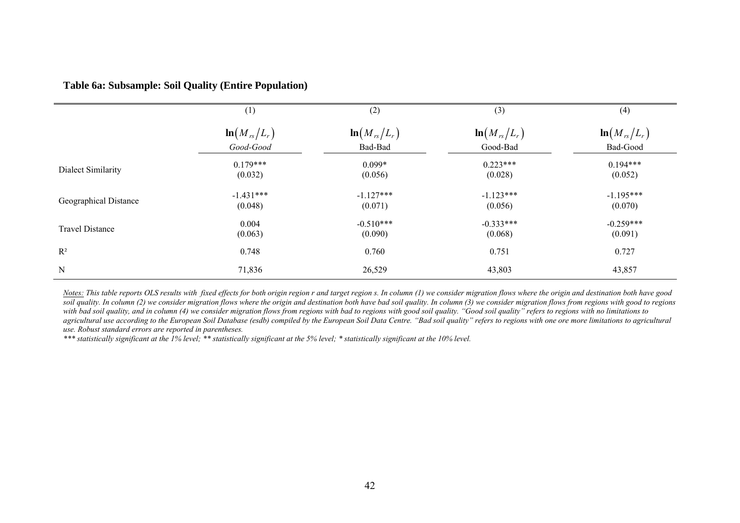## **Table 6a: Subsample: Soil Quality (Entire Population)**

|                        | (1)                    | (2)                    | (3)                    | (4)                    |
|------------------------|------------------------|------------------------|------------------------|------------------------|
|                        | $\ln(M_{rs}/L_r)$      | $\ln(M_{rs}/L_r)$      | $\ln(M_{rs}/L_r)$      | $\ln(M_{rs}/L_r)$      |
|                        | Good-Good              | Bad-Bad                | Good-Bad               | Bad-Good               |
| Dialect Similarity     | $0.179***$<br>(0.032)  | $0.099*$<br>(0.056)    | $0.223***$<br>(0.028)  | $0.194***$<br>(0.052)  |
| Geographical Distance  | $-1.431***$<br>(0.048) | $-1.127***$<br>(0.071) | $-1.123***$<br>(0.056) | $-1.195***$<br>(0.070) |
| <b>Travel Distance</b> | 0.004<br>(0.063)       | $-0.510***$<br>(0.090) | $-0.333***$<br>(0.068) | $-0.259***$<br>(0.091) |
| $R^2$                  | 0.748                  | 0.760                  | 0.751                  | 0.727                  |
| N                      | 71,836                 | 26,529                 | 43,803                 | 43,857                 |

*Notes: This table reports OLS results with fixed effects for both origin region r and target region s. In column (1) we consider migration flows where the origin and destination both have good soil quality. In column (2) we consider migration flows where the origin and destination both have bad soil quality. In column (3) we consider migration flows from regions with good to regions with bad soil quality, and in column (4) we consider migration flows from regions with bad to regions with good soil quality. "Good soil quality" refers to regions with no limitations to*  agricultural use according to the European Soil Database (esdb) compiled by the European Soil Data Centre. "Bad soil quality" refers to regions with one ore more limitations to agricultural *use. Robust standard errors are reported in parentheses.*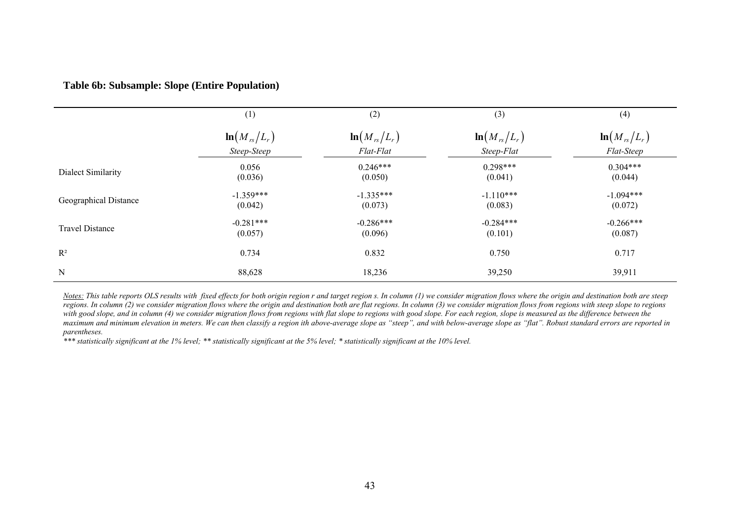## **Table 6b: Subsample: Slope (Entire Population)**

|                        | (1)                    | (2)                    | (3)                    | (4)                    |
|------------------------|------------------------|------------------------|------------------------|------------------------|
|                        | $\ln(M_{rs}/L_r)$      | $\ln(M_{rs}/L_r)$      | $\ln(M_{rs}/L_r)$      | $\ln(M_{rs}/L_r)$      |
|                        | Steep-Steep            | Flat-Flat              | Steep-Flat             | Flat-Steep             |
| Dialect Similarity     | 0.056<br>(0.036)       | $0.246***$<br>(0.050)  | $0.298***$<br>(0.041)  | $0.304***$<br>(0.044)  |
| Geographical Distance  | $-1.359***$<br>(0.042) | $-1.335***$<br>(0.073) | $-1.110***$<br>(0.083) | $-1.094***$<br>(0.072) |
| <b>Travel Distance</b> | $-0.281***$<br>(0.057) | $-0.286***$<br>(0.096) | $-0.284***$<br>(0.101) | $-0.266***$<br>(0.087) |
| $R^2$                  | 0.734                  | 0.832                  | 0.750                  | 0.717                  |
| $\mathbf N$            | 88,628                 | 18,236                 | 39,250                 | 39,911                 |

*Notes:* This table reports OLS results with fixed effects for both origin region r and target region s. In column (1) we consider migration flows where the origin and destination both are steep *regions. In column* (2) we consider migration flows where the origin and destination both are flat regions. In column (3) we consider migration flows from regions with steep slope to regions *with good slope, and in column (4) we consider migration flows from regions with flat slope to regions with good slope. For each region, slope is measured as the difference between the maximum and minimum elevation in meters. We can then classify a region ith above-average slope as "steep", and with below-average slope as "flat". Robust standard errors are reported in parentheses.*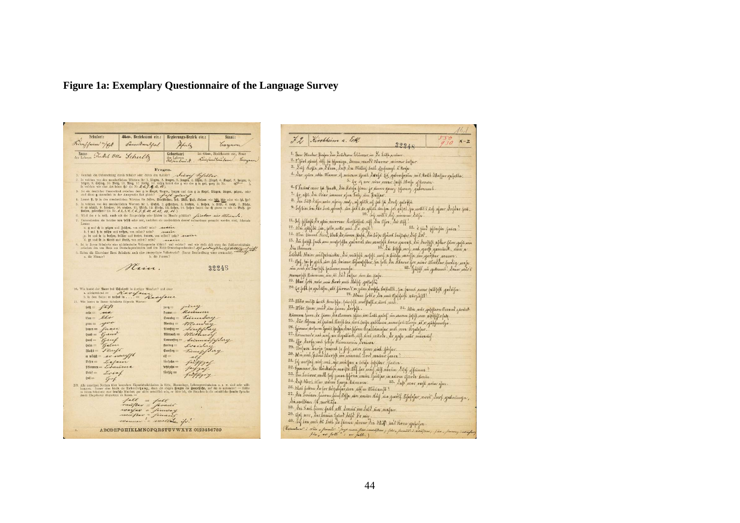# **Figure 1a: Exemplary Questionnaire of the Language Survey**

| Schulort:                                                                                                                                                                                                                                                                | Ober, Bezirksamt etc.:                                                                                                                                                                              | Regierungs-Bezirk etc.:                                                                                                                                                                                                            | Staat:                                                          |
|--------------------------------------------------------------------------------------------------------------------------------------------------------------------------------------------------------------------------------------------------------------------------|-----------------------------------------------------------------------------------------------------------------------------------------------------------------------------------------------------|------------------------------------------------------------------------------------------------------------------------------------------------------------------------------------------------------------------------------------|-----------------------------------------------------------------|
| Riverffaim "/ Et Summentful                                                                                                                                                                                                                                              |                                                                                                                                                                                                     |                                                                                                                                                                                                                                    | Tuynam                                                          |
| Name Torket Ollo Schultz                                                                                                                                                                                                                                                 |                                                                                                                                                                                                     | Geburtsort<br>des Lehrers<br>alfanburick.                                                                                                                                                                                          | im Ober, Bezirksamt etc., Staat<br>Jinghun Tim Lawn.<br>Lungnun |
|                                                                                                                                                                                                                                                                          | Fragen.                                                                                                                                                                                             |                                                                                                                                                                                                                                    |                                                                 |
|                                                                                                                                                                                                                                                                          |                                                                                                                                                                                                     | 1. Geschah die Uebersetzung durch Schüler oder durch den Lehrer? Actives Tefallner                                                                                                                                                 |                                                                 |
|                                                                                                                                                                                                                                                                          |                                                                                                                                                                                                     | 2. In welchen von den mundartlichen Wörtern für 1. biegen, 2. tragen, 3. fragen, 4. legen, 5. Birgel, 6. Grapel, 7. jargen, 8. in einigen, 8. mai der eine Staten in der eine Staten bei der eine Staten bei der das genie da      |                                                                 |
|                                                                                                                                                                                                                                                                          |                                                                                                                                                                                                     | 3. Ist ein deutlicher Unterschied zuischen dem g in Rugel, Augen, fragen und dem g in Regel, friegen, biegen, zeigen, oder                                                                                                         |                                                                 |
|                                                                                                                                                                                                                                                                          |                                                                                                                                                                                                     | sind diese a summilieb in der Aussprache fast gleich? Jay Jay wir and the state of the state of the state of the state of the state of the state of the state of the state of the state of the state of the state of the state     |                                                                 |
|                                                                                                                                                                                                                                                                          |                                                                                                                                                                                                     | 5. In welchen von den mandartlichen Wortern für 1. Sichtl, 2. gestrichen, 3. brechen, 4. Rechen, 5. Richt, 6. recht, 7. Bliche, 8. et al. 7. Bliche, 8. et al. 7. Bliche, 8. et al. 7. Bliche, 10. recht. 7. Bliche, 10. recht     |                                                                 |
|                                                                                                                                                                                                                                                                          |                                                                                                                                                                                                     | 6. Wird das t in telf, tund mit der Zungenspisc oder hinten im Munde gebüdet? Sierkaer vier Meiner.<br>7. Unterscheiden die Schüler von felbft oder erst, nachdem sie ausdrücklich darauf aufmerksam gemacht worden sind, folgende |                                                                 |
| Laute:                                                                                                                                                                                                                                                                   |                                                                                                                                                                                                     |                                                                                                                                                                                                                                    |                                                                 |
|                                                                                                                                                                                                                                                                          | a. g und ch in zeigen und Zeichen, von selbst? nein? _eeseer<br>b. { und } in reifen und reißen, von selbst? nein?<br>o. br und ir in drehen, brilber und treten, trauen, von selbst? nein? armeien | main                                                                                                                                                                                                                               |                                                                 |
|                                                                                                                                                                                                                                                                          | d. gr und fr in Greis und Rreis, von selbst? nein?                                                                                                                                                  | rester.<br>8. Ist in Ihrem Schulorte eine nichtdeutsche Volkssprache üblich? und welche? und wie stellt sich etwa das Zahlenverhältniss                                                                                            |                                                                 |
|                                                                                                                                                                                                                                                                          |                                                                                                                                                                                                     | rwischen den von Hans aus Deutschaprechenden und den Nicht-Deutschaprechenden ? 211 aus auch eine dannen zum auch auch der Sicht-Deutschaprechenden ? 211 auch der Mark (Abstracht) . 2007 auch der Sichter Property der er ei     |                                                                 |
| a. die Männer?                                                                                                                                                                                                                                                           | b. die Frauen?                                                                                                                                                                                      |                                                                                                                                                                                                                                    |                                                                 |
|                                                                                                                                                                                                                                                                          |                                                                                                                                                                                                     |                                                                                                                                                                                                                                    |                                                                 |
|                                                                                                                                                                                                                                                                          | Main.                                                                                                                                                                                               |                                                                                                                                                                                                                                    | 32248                                                           |
|                                                                                                                                                                                                                                                                          | 10. Wie lautet der Name bes Eculoris in dortizer Mundart? und zwar                                                                                                                                  |                                                                                                                                                                                                                                    |                                                                 |
| 11. Wie lauten in Ihrem Schulerte folgende Wörter:                                                                                                                                                                                                                       | a. alloinstehend = Kavyaun                                                                                                                                                                          |                                                                                                                                                                                                                                    |                                                                 |
| $h$ ili = $f\pi/3$                                                                                                                                                                                                                                                       |                                                                                                                                                                                                     | jury<br>$i$ and $i$<br>Rosin<br>$f$ rumut $=$                                                                                                                                                                                      |                                                                 |
| $min = -\lambda \lambda$<br>$bin = \mathcal{L} \mathcal{L} \mathcal{L}$                                                                                                                                                                                                  |                                                                                                                                                                                                     | Timurdere<br>$\mathfrak{Somutag}=$                                                                                                                                                                                                 |                                                                 |
| $grau = 1$                                                                                                                                                                                                                                                               |                                                                                                                                                                                                     | $gentag =$                                                                                                                                                                                                                         |                                                                 |
| $b$ aucn = former                                                                                                                                                                                                                                                        |                                                                                                                                                                                                     | Dienstag =                                                                                                                                                                                                                         |                                                                 |
| Sand =                                                                                                                                                                                                                                                                   |                                                                                                                                                                                                     | $M$ ittwo $\phi =$                                                                                                                                                                                                                 |                                                                 |
| $S$ anf $=$                                                                                                                                                                                                                                                              |                                                                                                                                                                                                     | Donnerstag =                                                                                                                                                                                                                       | invigiling                                                      |
| $Setm =$<br>xlu                                                                                                                                                                                                                                                          |                                                                                                                                                                                                     | Freitag =                                                                                                                                                                                                                          |                                                                 |
| Flory                                                                                                                                                                                                                                                                    |                                                                                                                                                                                                     | Samftag =                                                                                                                                                                                                                          |                                                                 |
| $\alpha$ with $\beta = \mathcal{A}$ and $\alpha$<br>Befen =<br>Listan                                                                                                                                                                                                    |                                                                                                                                                                                                     | $d\mathbf{f} =$<br>fünfzehu ==                                                                                                                                                                                                     |                                                                 |
| $$$ Haumen = Linerissin                                                                                                                                                                                                                                                  |                                                                                                                                                                                                     | fechszehu =                                                                                                                                                                                                                        |                                                                 |
| $\mathfrak{B}$ rief $=$<br>Invint                                                                                                                                                                                                                                        |                                                                                                                                                                                                     | fünfzig =                                                                                                                                                                                                                          |                                                                 |
| $\mathfrak{d}$ of $=$<br>guy                                                                                                                                                                                                                                             |                                                                                                                                                                                                     |                                                                                                                                                                                                                                    |                                                                 |
| NB. Alle sonstigen Notizen über besondere Eigenthümlichkeiten in Sitte, Hausanlage, Lebensgewohnheiten u. s. w. sind sehr will-kommen. Immer aber bleibt die Heberiet ung, dann die obigen Fragen die Dauptjafte, auf die es a<br>durch Eingeborne übersetzen zu lassen. |                                                                                                                                                                                                     | in Herem Schulorte eine brutiche Mundart gar nicht ortsüblich sein, so bitte ich, die Sätzehen in die ortsübliche fremde Sprache                                                                                                   |                                                                 |
|                                                                                                                                                                                                                                                                          | fall = foll                                                                                                                                                                                         |                                                                                                                                                                                                                                    |                                                                 |
|                                                                                                                                                                                                                                                                          | vaufrer = favour                                                                                                                                                                                    |                                                                                                                                                                                                                                    |                                                                 |
|                                                                                                                                                                                                                                                                          | <i>unnifan</i> =<br>finna                                                                                                                                                                           |                                                                                                                                                                                                                                    |                                                                 |
|                                                                                                                                                                                                                                                                          | uniflar =<br>finne<br>mannar ! - smiller ifr?                                                                                                                                                       |                                                                                                                                                                                                                                    |                                                                 |

|             |                                                                                                                                                                                                                                        | 16.1                                |
|-------------|----------------------------------------------------------------------------------------------------------------------------------------------------------------------------------------------------------------------------------------|-------------------------------------|
|             | I 2 Kirchheim a. Eck                                                                                                                                                                                                                   | 550<br>$X - Z$                      |
|             | 32248                                                                                                                                                                                                                                  |                                     |
|             | 1. Dan Marker fliefen die deutskans blücers in de Lüft avann.                                                                                                                                                                          |                                     |
|             | 2. 5 fort genis iff to phraiga, trum more ? Alward mirror baffar                                                                                                                                                                       |                                     |
|             | 3. Trif Rofle in I live, dup in Milling bull unfangt & Roya.                                                                                                                                                                           |                                     |
|             | 4. var gura ulla Mann if unvam efnut dørafs let gabrufvann ins kal-blaffar gafalla.<br>5. for if nor mine over full their of homes.                                                                                                    |                                     |
|             | 6. Bañar war fû flach, dû dirfe finn je anne ganz pfancy gabrann .                                                                                                                                                                     |                                     |
|             | 7. Je upt die Aier imme of maly in Reffer.                                                                                                                                                                                             |                                     |
|             | 8. In bill drife univ afory unf, uf glat, uf jul få dovef gelofis.                                                                                                                                                                     |                                     |
|             | <sup>91</sup> . Ivy bise bou šáve bově generali nive <b>jak í šer njá</b> let noc fou jori gréjech, his molt í än <b>g aforer vorfero /orč</b><br>10. By will's sty nimmi info.                                                        |                                     |
|             | 11. by fylafi ykrain niverun derfloffat nift din lifer, In lift.<br>12. mai gablja (ja, jotte nave mit Le yeft.                                                                                                                        |                                     |
|             |                                                                                                                                                                                                                                        | 13. Spint playte faive.             |
|             | 14. Mai liswas dini, blaik so num flaja, dia bope cjans beipaky dref dov.                                                                                                                                                              |                                     |
| Nu Chunave. | 15. dú fabýl funt am anajofajta galavnt an arnopti boar gamap du daoffajt afrav fam gajá nia<br>.                                                                                                                                      |                                     |
|             | 16. In biffs and and good gamina, in a<br>butall dlain antfatriake, in might arfift wel a bilife worth in groters waver.                                                                                                               |                                     |
|             |                                                                                                                                                                                                                                        |                                     |
|             | 17: Opl <sub>y</sub> his je gjich sive fat davinse difuafiflux, fin folk din Alnese for avinc <i>Mintebox furlig, senfo</i><br>18: Yafifl sin godinal: Louise and the sine of the sine of the sine of the sine game of the sine said t |                                     |
|             | anna off Rumm, mr is in bofar mn in frafe                                                                                                                                                                                              |                                     |
|             | 19. Have Jost mix mai divor mit thing gaplofts                                                                                                                                                                                         |                                     |
|             | <sup>20.</sup> kr folk þv guðsifn, att fávoru 8 m gúni skraþfa buftallt, þa fanns avarc þelbfeft yratnýn .                                                                                                                             |                                     |
|             | 21. Adam folks die nun Ofaffigt närjefle!<br>22. Mhr mñp huit kraipfa, fúnfift an fhift a un nut.                                                                                                                                      |                                     |
|             | 23. Mår finn und sin fann sorfyt.                                                                                                                                                                                                      | 24. Mis műr gafiftern étvenn gűvürk |
|             | known finn, de fann eis etnuwe ffün im tall galsf im aaven fapft am appfelofax.                                                                                                                                                        |                                     |
|             | 25. För tynn i fnän tlanf kn änn laija gablina, amer fri tilvsje af x gåblundys .                                                                                                                                                      |                                     |
|             | 26. kjunar änfarn han frejfu drei filom etzallennfar mit voor etzalifar.                                                                                                                                                               |                                     |
|             | 27. honnswe nat nost an elyablish uif inn wavels, do gala niño minavist.                                                                                                                                                               |                                     |
|             | 23. You Surfu unt folya dimmonia Sociaca.<br>29. Mufava Lavja firmand fo forf, ann firm sint forfax.                                                                                                                                   |                                     |
|             | 30. Min and fenne devoyed me winnie Low menine funne.                                                                                                                                                                                  |                                     |
|             | 31. In another and not are uniform a birds futifier claims.                                                                                                                                                                            |                                     |
|             | 32. Grunnir ka tinkalyi maipi tal for unif uff unin cify offinns?                                                                                                                                                                      |                                     |
|             |                                                                                                                                                                                                                                        |                                     |
|             |                                                                                                                                                                                                                                        |                                     |
|             | 36. Mar forken do for dogalyse vive uff in Manways?                                                                                                                                                                                    |                                     |
|             | 37. din bannen favoru find liffe vin unien dielj sin zweilf tifelifer nooi? voor gedeniewyn ,<br>In wollben:  fe asvetale                                                                                                              |                                     |
|             | 38. Dri Luit finn fait all drain in tald in majan.                                                                                                                                                                                     |                                     |
|             |                                                                                                                                                                                                                                        |                                     |
|             | 39. efni avec, dar kreuin brind dúts) d'e aun.<br>40. Ay bin amt de Lut, de finner annau din 1924 and diven gestufer .                                                                                                                 |                                     |
|             | (Extendment : chis of finants" farge more fire count form ; fine a farmite : weitgens ; fire a fireway inserface                                                                                                                       |                                     |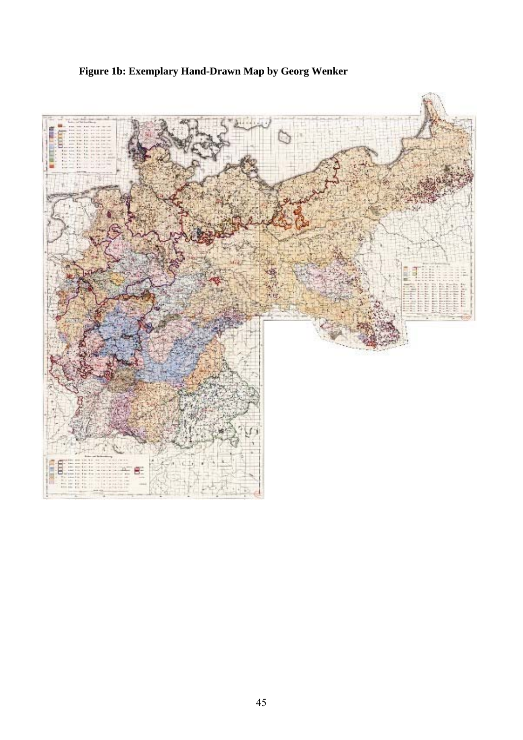# **Figure 1b: Exemplary Hand-Drawn Map by Georg Wenker**

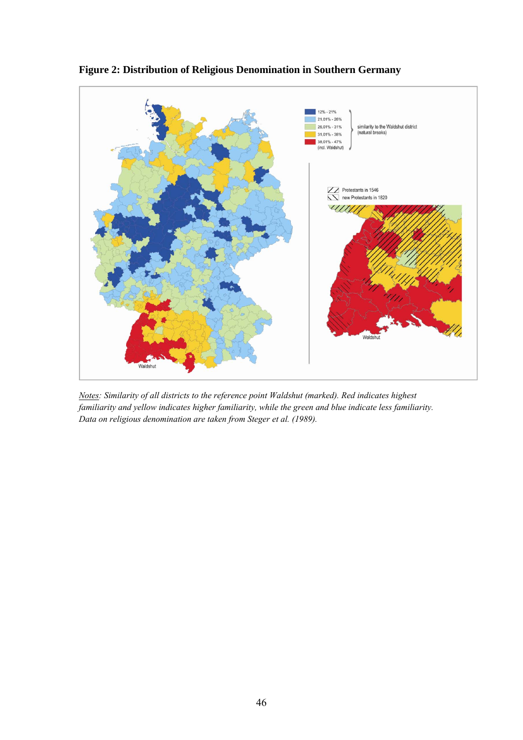

**Figure 2: Distribution of Religious Denomination in Southern Germany** 

*Notes: Similarity of all districts to the reference point Waldshut (marked). Red indicates highest familiarity and yellow indicates higher familiarity, while the green and blue indicate less familiarity. Data on religious denomination are taken from Steger et al. (1989).*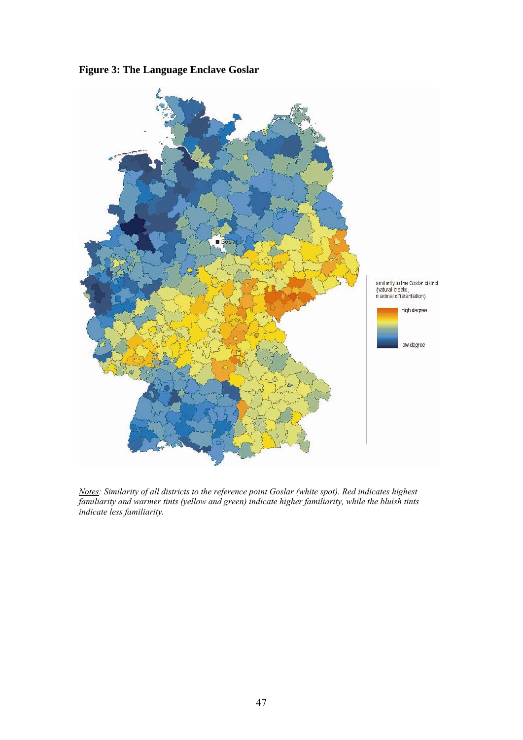



*Notes: Similarity of all districts to the reference point Goslar (white spot). Red indicates highest familiarity and warmer tints (yellow and green) indicate higher familiarity, while the bluish tints indicate less familiarity.*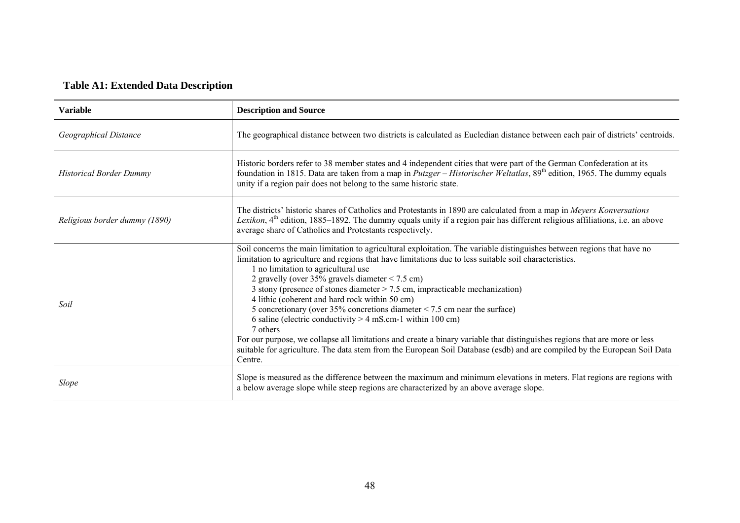# **Table A1: Extended Data Description**

| <b>Variable</b>                | <b>Description and Source</b>                                                                                                                                                                                                                                                                                                                                                                                                                                                                                                                                                                                                                                                                                                                                                                                                                                                                        |
|--------------------------------|------------------------------------------------------------------------------------------------------------------------------------------------------------------------------------------------------------------------------------------------------------------------------------------------------------------------------------------------------------------------------------------------------------------------------------------------------------------------------------------------------------------------------------------------------------------------------------------------------------------------------------------------------------------------------------------------------------------------------------------------------------------------------------------------------------------------------------------------------------------------------------------------------|
| Geographical Distance          | The geographical distance between two districts is calculated as Eucledian distance between each pair of districts' centroids.                                                                                                                                                                                                                                                                                                                                                                                                                                                                                                                                                                                                                                                                                                                                                                       |
| <b>Historical Border Dummy</b> | Historic borders refer to 38 member states and 4 independent cities that were part of the German Confederation at its<br>foundation in 1815. Data are taken from a map in <i>Putzger</i> – <i>Historischer Weltatlas</i> , $89th$ edition, 1965. The dummy equals<br>unity if a region pair does not belong to the same historic state.                                                                                                                                                                                                                                                                                                                                                                                                                                                                                                                                                              |
| Religious border dummy (1890)  | The districts' historic shares of Catholics and Protestants in 1890 are calculated from a map in Meyers Konversations<br>Lexikon, 4 <sup>th</sup> edition, 1885–1892. The dummy equals unity if a region pair has different religious affiliations, i.e. an above<br>average share of Catholics and Protestants respectively.                                                                                                                                                                                                                                                                                                                                                                                                                                                                                                                                                                        |
| Soil                           | Soil concerns the main limitation to agricultural exploitation. The variable distinguishes between regions that have no<br>limitation to agriculture and regions that have limitations due to less suitable soil characteristics.<br>1 no limitation to agricultural use<br>2 gravelly (over $35\%$ gravels diameter < 7.5 cm)<br>3 stony (presence of stones diameter $>$ 7.5 cm, impracticable mechanization)<br>4 lithic (coherent and hard rock within 50 cm)<br>5 concretionary (over 35% concretions diameter $\le$ 7.5 cm near the surface)<br>6 saline (electric conductivity $> 4$ mS.cm-1 within 100 cm)<br>7 others<br>For our purpose, we collapse all limitations and create a binary variable that distinguishes regions that are more or less<br>suitable for agriculture. The data stem from the European Soil Database (esdb) and are compiled by the European Soil Data<br>Centre. |
| Slope                          | Slope is measured as the difference between the maximum and minimum elevations in meters. Flat regions are regions with<br>a below average slope while steep regions are characterized by an above average slope.                                                                                                                                                                                                                                                                                                                                                                                                                                                                                                                                                                                                                                                                                    |